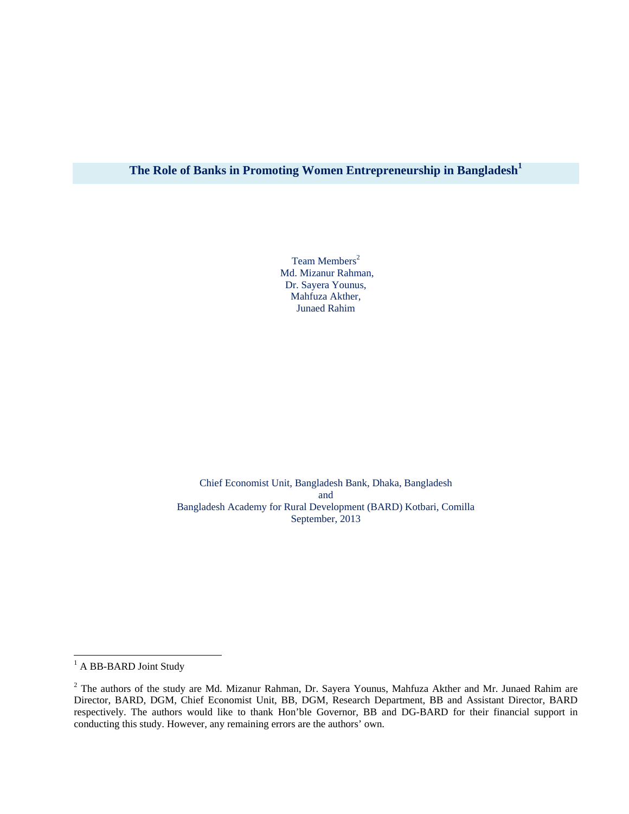# **The Role of Banks in Promoting Women Entrepreneurship in Bangladesh1**

Team Members<sup>2</sup> Md. Mizanur Rahman, Dr. Sayera Younus, Mahfuza Akther, Junaed Rahim

Chief Economist Unit, Bangladesh Bank, Dhaka, Bangladesh and Bangladesh Academy for Rural Development (BARD) Kotbari, Comilla September, 2013

<sup>&</sup>lt;sup>1</sup> A BB-BARD Joint Study

 $2$  The authors of the study are Md. Mizanur Rahman, Dr. Sayera Younus, Mahfuza Akther and Mr. Junaed Rahim are Director, BARD, DGM, Chief Economist Unit, BB, DGM, Research Department, BB and Assistant Director, BARD respectively. The authors would like to thank Hon'ble Governor, BB and DG-BARD for their financial support in conducting this study. However, any remaining errors are the authors' own.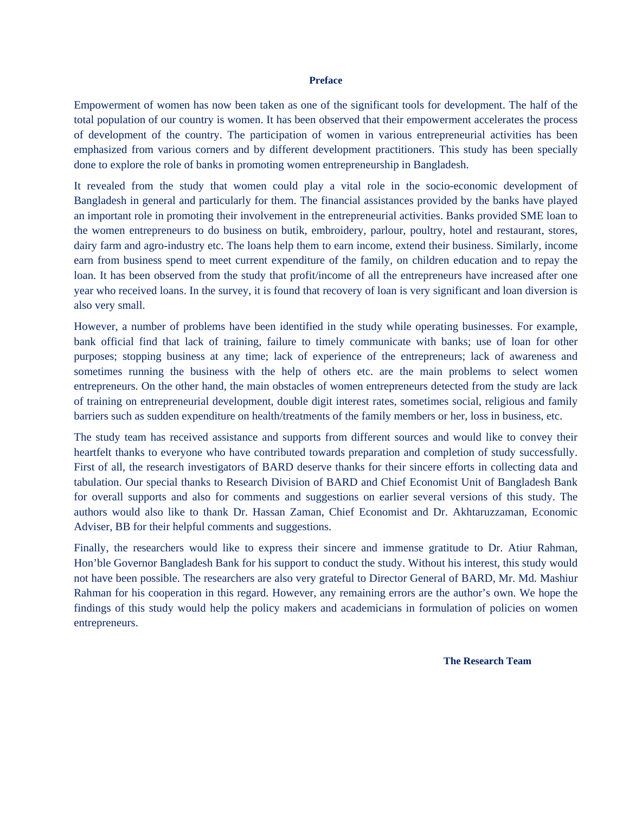#### **Preface**

Empowerment of women has now been taken as one of the significant tools for development. The half of the total population of our country is women. It has been observed that their empowerment accelerates the process of development of the country. The participation of women in various entrepreneurial activities has been emphasized from various corners and by different development practitioners. This study has been specially done to explore the role of banks in promoting women entrepreneurship in Bangladesh.

It revealed from the study that women could play a vital role in the socio-economic development of Bangladesh in general and particularly for them. The financial assistances provided by the banks have played an important role in promoting their involvement in the entrepreneurial activities. Banks provided SME loan to the women entrepreneurs to do business on butik, embroidery, parlour, poultry, hotel and restaurant, stores, dairy farm and agro-industry etc. The loans help them to earn income, extend their business. Similarly, income earn from business spend to meet current expenditure of the family, on children education and to repay the loan. It has been observed from the study that profit/income of all the entrepreneurs have increased after one year who received loans. In the survey, it is found that recovery of loan is very significant and loan diversion is also very small.

However, a number of problems have been identified in the study while operating businesses. For example, bank official find that lack of training, failure to timely communicate with banks; use of loan for other purposes; stopping business at any time; lack of experience of the entrepreneurs; lack of awareness and sometimes running the business with the help of others etc. are the main problems to select women entrepreneurs. On the other hand, the main obstacles of women entrepreneurs detected from the study are lack of training on entrepreneurial development, double digit interest rates, sometimes social, religious and family barriers such as sudden expenditure on health/treatments of the family members or her, loss in business, etc.

The study team has received assistance and supports from different sources and would like to convey their heartfelt thanks to everyone who have contributed towards preparation and completion of study successfully. First of all, the research investigators of BARD deserve thanks for their sincere efforts in collecting data and tabulation. Our special thanks to Research Division of BARD and Chief Economist Unit of Bangladesh Bank for overall supports and also for comments and suggestions on earlier several versions of this study. The authors would also like to thank Dr. Hassan Zaman, Chief Economist and Dr. Akhtaruzzaman, Economic Adviser, BB for their helpful comments and suggestions.

Finally, the researchers would like to express their sincere and immense gratitude to Dr. Atiur Rahman, Hon'ble Governor Bangladesh Bank for his support to conduct the study. Without his interest, this study would not have been possible. The researchers are also very grateful to Director General of BARD, Mr. Md. Mashiur Rahman for his cooperation in this regard. However, any remaining errors are the author's own. We hope the findings of this study would help the policy makers and academicians in formulation of policies on women entrepreneurs.

**The Research Team**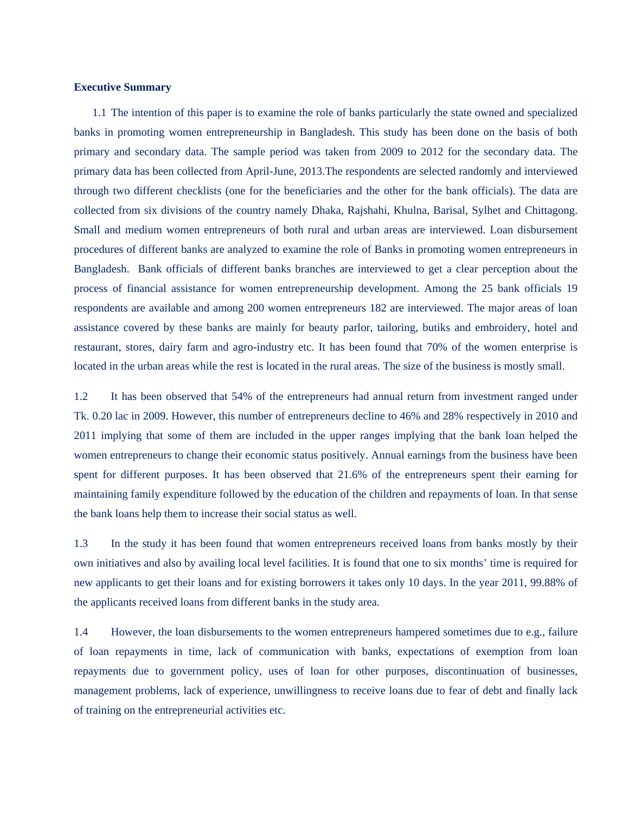## **Executive Summary**

1.1 The intention of this paper is to examine the role of banks particularly the state owned and specialized banks in promoting women entrepreneurship in Bangladesh. This study has been done on the basis of both primary and secondary data. The sample period was taken from 2009 to 2012 for the secondary data. The primary data has been collected from April-June, 2013.The respondents are selected randomly and interviewed through two different checklists (one for the beneficiaries and the other for the bank officials). The data are collected from six divisions of the country namely Dhaka, Rajshahi, Khulna, Barisal, Sylhet and Chittagong. Small and medium women entrepreneurs of both rural and urban areas are interviewed. Loan disbursement procedures of different banks are analyzed to examine the role of Banks in promoting women entrepreneurs in Bangladesh. Bank officials of different banks branches are interviewed to get a clear perception about the process of financial assistance for women entrepreneurship development. Among the 25 bank officials 19 respondents are available and among 200 women entrepreneurs 182 are interviewed. The major areas of loan assistance covered by these banks are mainly for beauty parlor, tailoring, butiks and embroidery, hotel and restaurant, stores, dairy farm and agro-industry etc. It has been found that 70% of the women enterprise is located in the urban areas while the rest is located in the rural areas. The size of the business is mostly small.

1.2 It has been observed that 54% of the entrepreneurs had annual return from investment ranged under Tk. 0.20 lac in 2009. However, this number of entrepreneurs decline to 46% and 28% respectively in 2010 and 2011 implying that some of them are included in the upper ranges implying that the bank loan helped the women entrepreneurs to change their economic status positively. Annual earnings from the business have been spent for different purposes. It has been observed that 21.6% of the entrepreneurs spent their earning for maintaining family expenditure followed by the education of the children and repayments of loan. In that sense the bank loans help them to increase their social status as well.

1.3 In the study it has been found that women entrepreneurs received loans from banks mostly by their own initiatives and also by availing local level facilities. It is found that one to six months' time is required for new applicants to get their loans and for existing borrowers it takes only 10 days. In the year 2011, 99.88% of the applicants received loans from different banks in the study area.

1.4 However, the loan disbursements to the women entrepreneurs hampered sometimes due to e.g., failure of loan repayments in time, lack of communication with banks, expectations of exemption from loan repayments due to government policy, uses of loan for other purposes, discontinuation of businesses, management problems, lack of experience, unwillingness to receive loans due to fear of debt and finally lack of training on the entrepreneurial activities etc.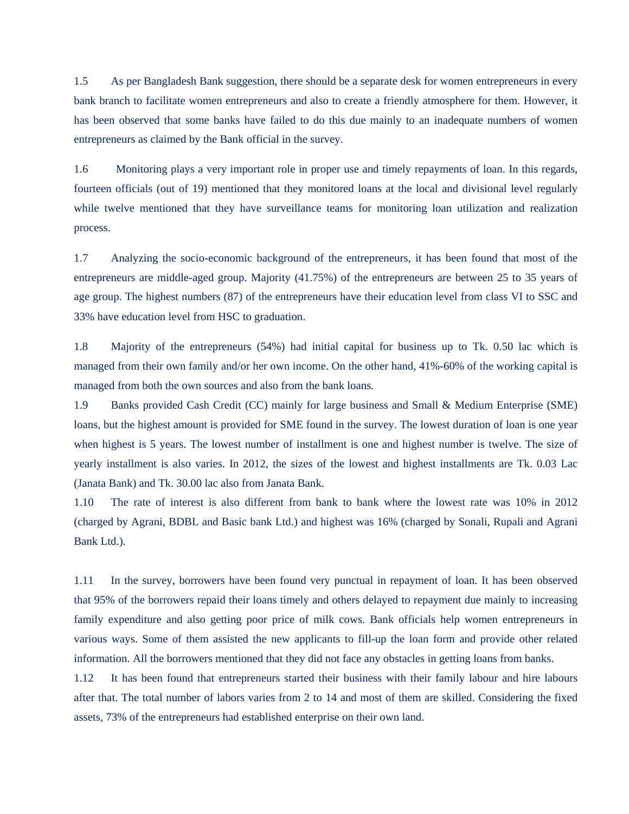1.5 As per Bangladesh Bank suggestion, there should be a separate desk for women entrepreneurs in every bank branch to facilitate women entrepreneurs and also to create a friendly atmosphere for them. However, it has been observed that some banks have failed to do this due mainly to an inadequate numbers of women entrepreneurs as claimed by the Bank official in the survey.

1.6 Monitoring plays a very important role in proper use and timely repayments of loan. In this regards, fourteen officials (out of 19) mentioned that they monitored loans at the local and divisional level regularly while twelve mentioned that they have surveillance teams for monitoring loan utilization and realization process.

1.7 Analyzing the socio-economic background of the entrepreneurs, it has been found that most of the entrepreneurs are middle-aged group. Majority (41.75%) of the entrepreneurs are between 25 to 35 years of age group. The highest numbers (87) of the entrepreneurs have their education level from class VI to SSC and 33% have education level from HSC to graduation.

1.8 Majority of the entrepreneurs (54%) had initial capital for business up to Tk. 0.50 lac which is managed from their own family and/or her own income. On the other hand, 41%-60% of the working capital is managed from both the own sources and also from the bank loans.

1.9 Banks provided Cash Credit (CC) mainly for large business and Small & Medium Enterprise (SME) loans, but the highest amount is provided for SME found in the survey. The lowest duration of loan is one year when highest is 5 years. The lowest number of installment is one and highest number is twelve. The size of yearly installment is also varies. In 2012, the sizes of the lowest and highest installments are Tk. 0.03 Lac (Janata Bank) and Tk. 30.00 lac also from Janata Bank.

1.10 The rate of interest is also different from bank to bank where the lowest rate was 10% in 2012 (charged by Agrani, BDBL and Basic bank Ltd.) and highest was 16% (charged by Sonali, Rupali and Agrani Bank Ltd.).

1.11 In the survey, borrowers have been found very punctual in repayment of loan. It has been observed that 95% of the borrowers repaid their loans timely and others delayed to repayment due mainly to increasing family expenditure and also getting poor price of milk cows. Bank officials help women entrepreneurs in various ways. Some of them assisted the new applicants to fill-up the loan form and provide other related information. All the borrowers mentioned that they did not face any obstacles in getting loans from banks.

1.12 It has been found that entrepreneurs started their business with their family labour and hire labours after that. The total number of labors varies from 2 to 14 and most of them are skilled. Considering the fixed assets, 73% of the entrepreneurs had established enterprise on their own land.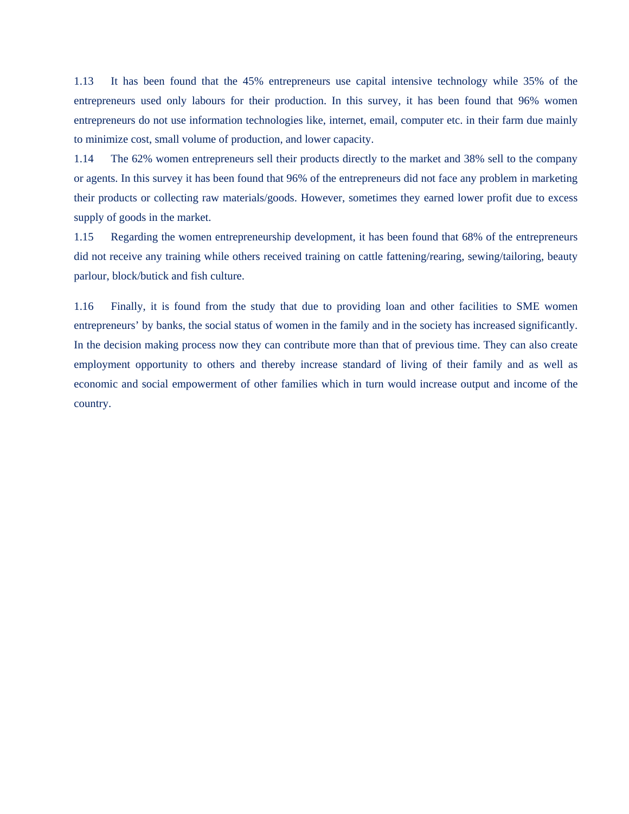1.13 It has been found that the 45% entrepreneurs use capital intensive technology while 35% of the entrepreneurs used only labours for their production. In this survey, it has been found that 96% women entrepreneurs do not use information technologies like, internet, email, computer etc. in their farm due mainly to minimize cost, small volume of production, and lower capacity.

1.14 The 62% women entrepreneurs sell their products directly to the market and 38% sell to the company or agents. In this survey it has been found that 96% of the entrepreneurs did not face any problem in marketing their products or collecting raw materials/goods. However, sometimes they earned lower profit due to excess supply of goods in the market.

1.15 Regarding the women entrepreneurship development, it has been found that 68% of the entrepreneurs did not receive any training while others received training on cattle fattening/rearing, sewing/tailoring, beauty parlour, block/butick and fish culture.

1.16 Finally, it is found from the study that due to providing loan and other facilities to SME women entrepreneurs' by banks, the social status of women in the family and in the society has increased significantly. In the decision making process now they can contribute more than that of previous time. They can also create employment opportunity to others and thereby increase standard of living of their family and as well as economic and social empowerment of other families which in turn would increase output and income of the country.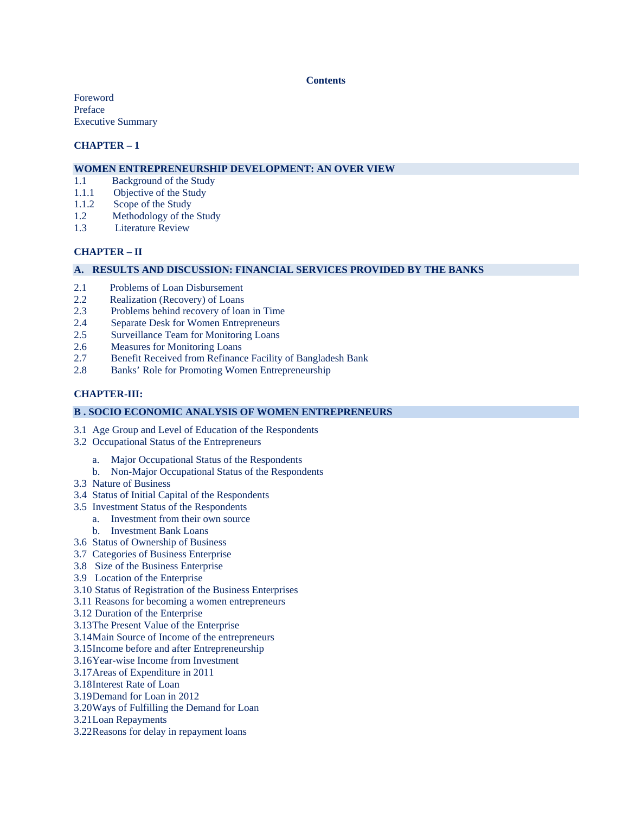#### **Contents**

Foreword Preface Executive Summary

## **CHAPTER – 1**

## **WOMEN ENTREPRENEURSHIP DEVELOPMENT: AN OVER VIEW**

- 1.1 Background of the Study
- 1.1.1 Objective of the Study
- 1.1.2 Scope of the Study
- 1.2 Methodology of the Study
- 1.3 Literature Review

## **CHAPTER – II**

### **A. RESULTS AND DISCUSSION: FINANCIAL SERVICES PROVIDED BY THE BANKS**

- 2.1 Problems of Loan Disbursement<br>2.2 Realization (Recovery) of Loans
- Realization (Recovery) of Loans
- 2.3 Problems behind recovery of loan in Time
- 2.4 Separate Desk for Women Entrepreneurs
- 2.5 Surveillance Team for Monitoring Loans
- 2.6 Measures for Monitoring Loans
- 2.7 Benefit Received from Refinance Facility of Bangladesh Bank
- 2.8 Banks' Role for Promoting Women Entrepreneurship

## **CHAPTER-III:**

#### **B . SOCIO ECONOMIC ANALYSIS OF WOMEN ENTREPRENEURS**

- 3.1 Age Group and Level of Education of the Respondents
- 3.2 Occupational Status of the Entrepreneurs
	- a. Major Occupational Status of the Respondents
- b. Non-Major Occupational Status of the Respondents
- 3.3 Nature of Business
- 3.4 Status of Initial Capital of the Respondents
- 3.5 Investment Status of the Respondents
	- a. Investment from their own source
		- b. Investment Bank Loans
- 3.6 Status of Ownership of Business
- 3.7 Categories of Business Enterprise
- 3.8 Size of the Business Enterprise
- 3.9 Location of the Enterprise
- 3.10 Status of Registration of the Business Enterprises
- 3.11 Reasons for becoming a women entrepreneurs
- 3.12 Duration of the Enterprise
- 3.13The Present Value of the Enterprise
- 3.14Main Source of Income of the entrepreneurs
- 3.15Income before and after Entrepreneurship
- 3.16Year-wise Income from Investment
- 3.17Areas of Expenditure in 2011
- 3.18Interest Rate of Loan
- 3.19Demand for Loan in 2012
- 3.20Ways of Fulfilling the Demand for Loan
- 3.21Loan Repayments
- 3.22Reasons for delay in repayment loans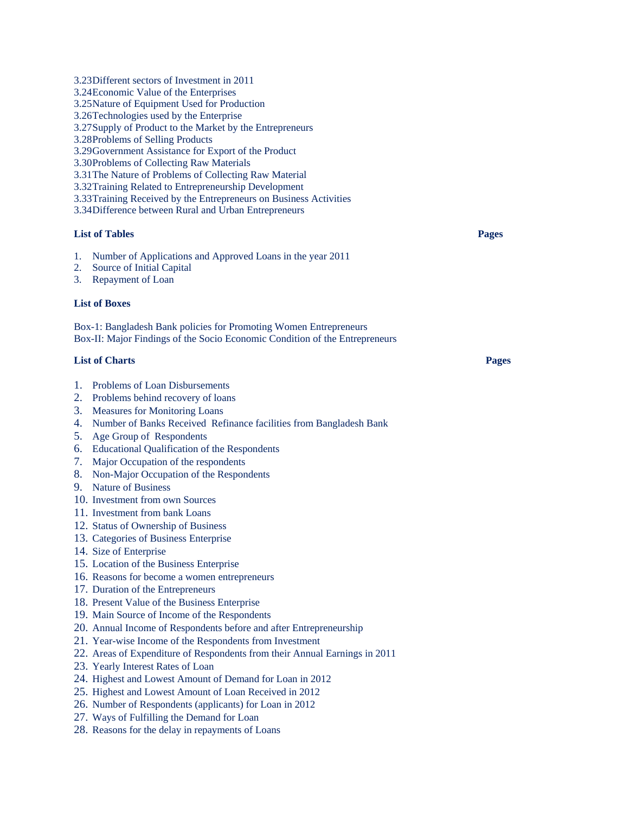- 3.23Different sectors of Investment in 2011
- 3.24Economic Value of the Enterprises
- 3.25Nature of Equipment Used for Production
- 3.26Technologies used by the Enterprise
- 3.27Supply of Product to the Market by the Entrepreneurs
- 3.28Problems of Selling Products
- 3.29Government Assistance for Export of the Product
- 3.30Problems of Collecting Raw Materials
- 3.31The Nature of Problems of Collecting Raw Material
- 3.32Training Related to Entrepreneurship Development
- 3.33Training Received by the Entrepreneurs on Business Activities
- 3.34Difference between Rural and Urban Entrepreneurs

## **List of Tables Pages**

- 1. Number of Applications and Approved Loans in the year 2011
- 2. Source of Initial Capital
- 3. Repayment of Loan

## **List of Boxes**

Box-1: Bangladesh Bank policies for Promoting Women Entrepreneurs Box-II: Major Findings of the Socio Economic Condition of the Entrepreneurs

## **List of Charts Pages**

- 1. Problems of Loan Disbursements
- 2. Problems behind recovery of loans
- 3. Measures for Monitoring Loans
- 4. Number of Banks Received Refinance facilities from Bangladesh Bank
- 5. Age Group of Respondents
- 6. Educational Qualification of the Respondents
- 7. Major Occupation of the respondents
- 8. Non-Major Occupation of the Respondents
- 9. Nature of Business
- 10. Investment from own Sources
- 11. Investment from bank Loans
- 12. Status of Ownership of Business
- 13. Categories of Business Enterprise
- 14. Size of Enterprise
- 15. Location of the Business Enterprise
- 16. Reasons for become a women entrepreneurs
- 17. Duration of the Entrepreneurs
- 18. Present Value of the Business Enterprise
- 19. Main Source of Income of the Respondents
- 20. Annual Income of Respondents before and after Entrepreneurship
- 21. Year-wise Income of the Respondents from Investment
- 22. Areas of Expenditure of Respondents from their Annual Earnings in 2011
- 23. Yearly Interest Rates of Loan
- 24. Highest and Lowest Amount of Demand for Loan in 2012
- 25. Highest and Lowest Amount of Loan Received in 2012
- 26. Number of Respondents (applicants) for Loan in 2012
- 27. Ways of Fulfilling the Demand for Loan
- 28. Reasons for the delay in repayments of Loans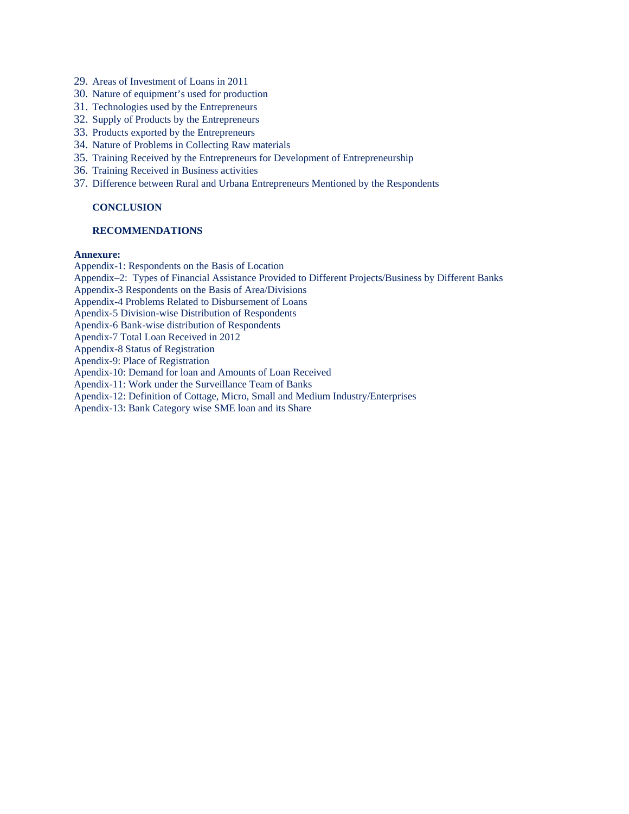- 29. Areas of Investment of Loans in 2011
- 30. Nature of equipment's used for production
- 31. Technologies used by the Entrepreneurs
- 32. Supply of Products by the Entrepreneurs
- 33. Products exported by the Entrepreneurs
- 34. Nature of Problems in Collecting Raw materials
- 35. Training Received by the Entrepreneurs for Development of Entrepreneurship
- 36. Training Received in Business activities
- 37. Difference between Rural and Urbana Entrepreneurs Mentioned by the Respondents

## **CONCLUSION**

#### **RECOMMENDATIONS**

## **Annexure:**

Appendix-1: Respondents on the Basis of Location Appendix–2: Types of Financial Assistance Provided to Different Projects/Business by Different Banks Appendix-3 Respondents on the Basis of Area/Divisions Appendix-4 Problems Related to Disbursement of Loans Apendix-5 Division-wise Distribution of Respondents Apendix-6 Bank-wise distribution of Respondents Apendix-7 Total Loan Received in 2012 Appendix-8 Status of Registration Apendix-9: Place of Registration Apendix-10: Demand for loan and Amounts of Loan Received Apendix-11: Work under the Surveillance Team of Banks Apendix-12: Definition of Cottage, Micro, Small and Medium Industry/Enterprises Apendix-13: Bank Category wise SME loan and its Share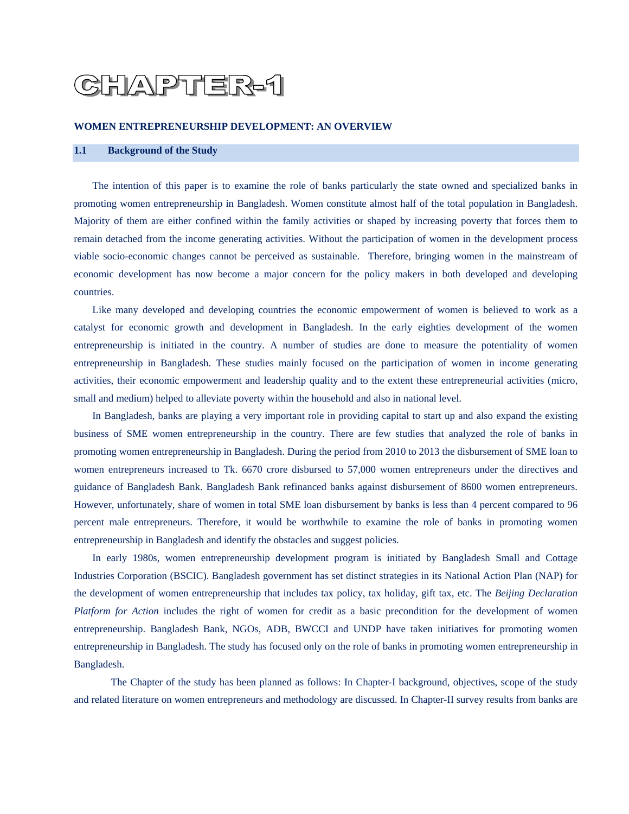# HAPTER-1

#### **WOMEN ENTREPRENEURSHIP DEVELOPMENT: AN OVERVIEW**

## **1.1 Background of the Study**

The intention of this paper is to examine the role of banks particularly the state owned and specialized banks in promoting women entrepreneurship in Bangladesh. Women constitute almost half of the total population in Bangladesh. Majority of them are either confined within the family activities or shaped by increasing poverty that forces them to remain detached from the income generating activities. Without the participation of women in the development process viable socio-economic changes cannot be perceived as sustainable. Therefore, bringing women in the mainstream of economic development has now become a major concern for the policy makers in both developed and developing countries.

Like many developed and developing countries the economic empowerment of women is believed to work as a catalyst for economic growth and development in Bangladesh. In the early eighties development of the women entrepreneurship is initiated in the country. A number of studies are done to measure the potentiality of women entrepreneurship in Bangladesh. These studies mainly focused on the participation of women in income generating activities, their economic empowerment and leadership quality and to the extent these entrepreneurial activities (micro, small and medium) helped to alleviate poverty within the household and also in national level.

In Bangladesh, banks are playing a very important role in providing capital to start up and also expand the existing business of SME women entrepreneurship in the country. There are few studies that analyzed the role of banks in promoting women entrepreneurship in Bangladesh. During the period from 2010 to 2013 the disbursement of SME loan to women entrepreneurs increased to Tk. 6670 crore disbursed to 57,000 women entrepreneurs under the directives and guidance of Bangladesh Bank. Bangladesh Bank refinanced banks against disbursement of 8600 women entrepreneurs. However, unfortunately, share of women in total SME loan disbursement by banks is less than 4 percent compared to 96 percent male entrepreneurs. Therefore, it would be worthwhile to examine the role of banks in promoting women entrepreneurship in Bangladesh and identify the obstacles and suggest policies.

In early 1980s, women entrepreneurship development program is initiated by Bangladesh Small and Cottage Industries Corporation (BSCIC). Bangladesh government has set distinct strategies in its National Action Plan (NAP) for the development of women entrepreneurship that includes tax policy, tax holiday, gift tax, etc. The *Beijing Declaration Platform for Action* includes the right of women for credit as a basic precondition for the development of women entrepreneurship. Bangladesh Bank, NGOs, ADB, BWCCI and UNDP have taken initiatives for promoting women entrepreneurship in Bangladesh. The study has focused only on the role of banks in promoting women entrepreneurship in Bangladesh.

The Chapter of the study has been planned as follows: In Chapter-I background, objectives, scope of the study and related literature on women entrepreneurs and methodology are discussed. In Chapter-II survey results from banks are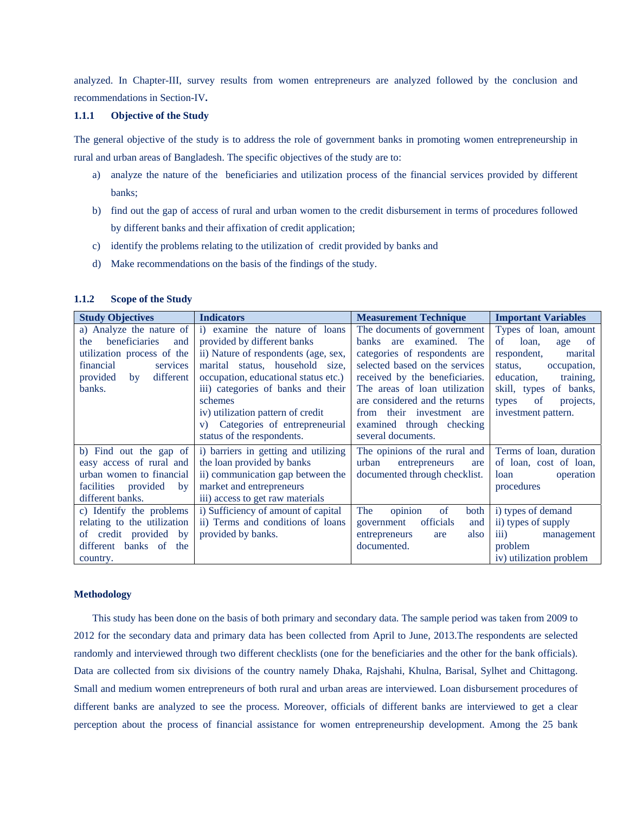analyzed. In Chapter-III, survey results from women entrepreneurs are analyzed followed by the conclusion and recommendations in Section-IV**.** 

#### **1.1.1 Objective of the Study**

The general objective of the study is to address the role of government banks in promoting women entrepreneurship in rural and urban areas of Bangladesh. The specific objectives of the study are to:

- a) analyze the nature of the beneficiaries and utilization process of the financial services provided by different banks;
- b) find out the gap of access of rural and urban women to the credit disbursement in terms of procedures followed by different banks and their affixation of credit application;
- c) identify the problems relating to the utilization of credit provided by banks and
- d) Make recommendations on the basis of the findings of the study.

#### **1.1.2 Scope of the Study**

| <b>Study Objectives</b>     | <b>Indicators</b>                    | <b>Measurement Technique</b>   | <b>Important Variables</b>          |  |  |
|-----------------------------|--------------------------------------|--------------------------------|-------------------------------------|--|--|
| a) Analyze the nature of    | i) examine the nature of loans       | The documents of government    | Types of loan, amount               |  |  |
| beneficiaries<br>the<br>and | provided by different banks          | banks are examined. The        | of<br>loan,<br>age<br><sub>of</sub> |  |  |
| utilization process of the  | ii) Nature of respondents (age, sex, | categories of respondents are  | respondent,<br>marital              |  |  |
| financial<br>services       | marital status, household size,      | selected based on the services | status,<br>occupation,              |  |  |
| different<br>provided<br>by | occupation, educational status etc.) | received by the beneficiaries. | education,<br>training,             |  |  |
| banks.                      | iii) categories of banks and their   | The areas of loan utilization  | skill, types of banks,              |  |  |
|                             | schemes                              | are considered and the returns | of<br>projects,<br>types            |  |  |
|                             | iv) utilization pattern of credit    | from their investment are      | investment pattern.                 |  |  |
|                             | Categories of entrepreneurial<br>V)  | examined through checking      |                                     |  |  |
|                             | status of the respondents.           | several documents.             |                                     |  |  |
| b) Find out the gap of      | i) barriers in getting and utilizing | The opinions of the rural and  | Terms of loan, duration             |  |  |
| easy access of rural and    | the loan provided by banks           | urban<br>entrepreneurs<br>are  | of loan, cost of loan,              |  |  |
| urban women to financial    | ii) communication gap between the    | documented through checklist.  | operation<br>loan                   |  |  |
| facilities provided<br>by   | market and entrepreneurs             |                                | procedures                          |  |  |
| different banks.            | iii) access to get raw materials     |                                |                                     |  |  |
| c) Identify the problems    | i) Sufficiency of amount of capital  | opinion<br>of<br>The<br>both   | i) types of demand                  |  |  |
| relating to the utilization | ii) Terms and conditions of loans    | officials<br>government<br>and | ii) types of supply                 |  |  |
| of credit provided by       | provided by banks.                   | entrepreneurs<br>also<br>are   | $\overline{iii}$ )<br>management    |  |  |
| different banks of the      |                                      | documented.                    | problem                             |  |  |
| country.                    |                                      |                                | iv) utilization problem             |  |  |

#### **Methodology**

This study has been done on the basis of both primary and secondary data. The sample period was taken from 2009 to 2012 for the secondary data and primary data has been collected from April to June, 2013.The respondents are selected randomly and interviewed through two different checklists (one for the beneficiaries and the other for the bank officials). Data are collected from six divisions of the country namely Dhaka, Rajshahi, Khulna, Barisal, Sylhet and Chittagong. Small and medium women entrepreneurs of both rural and urban areas are interviewed. Loan disbursement procedures of different banks are analyzed to see the process. Moreover, officials of different banks are interviewed to get a clear perception about the process of financial assistance for women entrepreneurship development. Among the 25 bank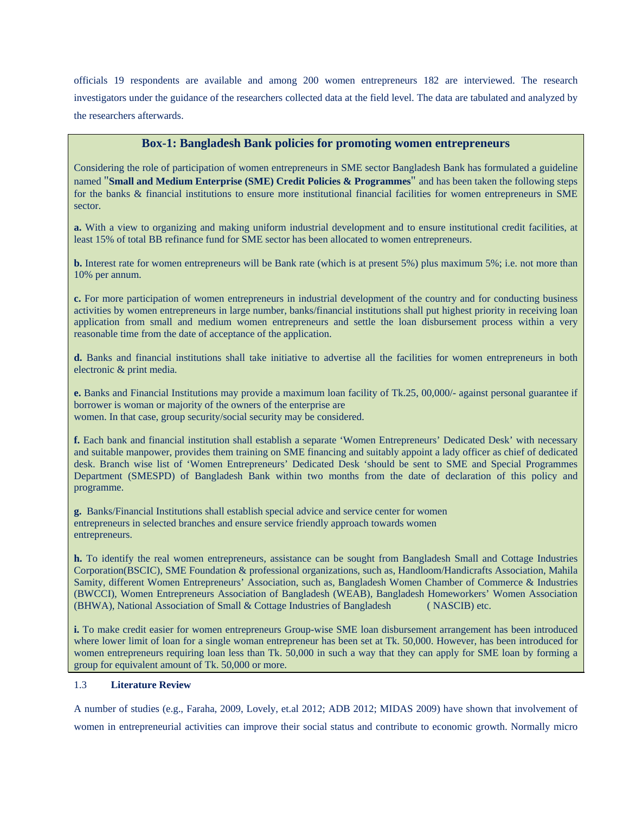officials 19 respondents are available and among 200 women entrepreneurs 182 are interviewed. The research investigators under the guidance of the researchers collected data at the field level. The data are tabulated and analyzed by the researchers afterwards.

## **Box-1: Bangladesh Bank policies for promoting women entrepreneurs**

Considering the role of participation of women entrepreneurs in SME sector Bangladesh Bank has formulated a guideline named "**Small and Medium Enterprise (SME) Credit Policies & Programmes**" and has been taken the following steps for the banks & financial institutions to ensure more institutional financial facilities for women entrepreneurs in SME sector.

**a.** With a view to organizing and making uniform industrial development and to ensure institutional credit facilities, at least 15% of total BB refinance fund for SME sector has been allocated to women entrepreneurs.

**b.** Interest rate for women entrepreneurs will be Bank rate (which is at present 5%) plus maximum 5%; i.e. not more than 10% per annum.

**c.** For more participation of women entrepreneurs in industrial development of the country and for conducting business activities by women entrepreneurs in large number, banks/financial institutions shall put highest priority in receiving loan application from small and medium women entrepreneurs and settle the loan disbursement process within a very reasonable time from the date of acceptance of the application.

**d.** Banks and financial institutions shall take initiative to advertise all the facilities for women entrepreneurs in both electronic & print media.

**e.** Banks and Financial Institutions may provide a maximum loan facility of Tk.25, 00,000/- against personal guarantee if borrower is woman or majority of the owners of the enterprise are women. In that case, group security/social security may be considered.

**f.** Each bank and financial institution shall establish a separate 'Women Entrepreneurs' Dedicated Desk' with necessary and suitable manpower, provides them training on SME financing and suitably appoint a lady officer as chief of dedicated desk. Branch wise list of 'Women Entrepreneurs' Dedicated Desk 'should be sent to SME and Special Programmes Department (SMESPD) of Bangladesh Bank within two months from the date of declaration of this policy and programme.

**g.** Banks/Financial Institutions shall establish special advice and service center for women entrepreneurs in selected branches and ensure service friendly approach towards women entrepreneurs.

**h.** To identify the real women entrepreneurs, assistance can be sought from Bangladesh Small and Cottage Industries Corporation(BSCIC), SME Foundation & professional organizations, such as, Handloom/Handicrafts Association, Mahila Samity, different Women Entrepreneurs' Association, such as, Bangladesh Women Chamber of Commerce & Industries (BWCCI), Women Entrepreneurs Association of Bangladesh (WEAB), Bangladesh Homeworkers' Women Association (BHWA), National Association of Small & Cottage Industries of Bangladesh ( NASCIB) etc.

**i.** To make credit easier for women entrepreneurs Group-wise SME loan disbursement arrangement has been introduced where lower limit of loan for a single woman entrepreneur has been set at Tk. 50,000. However, has been introduced for women entrepreneurs requiring loan less than Tk. 50,000 in such a way that they can apply for SME loan by forming a group for equivalent amount of Tk. 50,000 or more.

## 1.3 **Literature Review**

A number of studies (e.g., Faraha, 2009, Lovely, et.al 2012; ADB 2012; MIDAS 2009) have shown that involvement of women in entrepreneurial activities can improve their social status and contribute to economic growth. Normally micro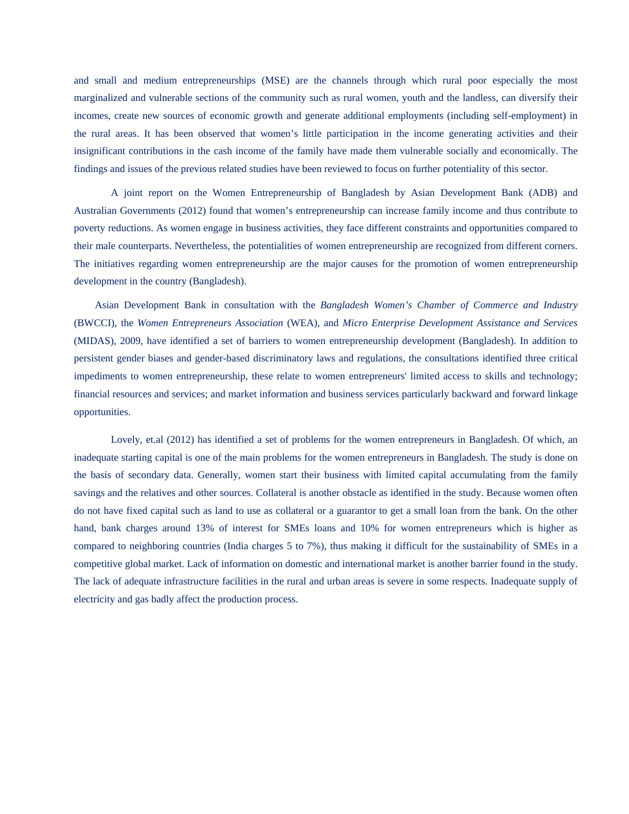and small and medium entrepreneurships (MSE) are the channels through which rural poor especially the most marginalized and vulnerable sections of the community such as rural women, youth and the landless, can diversify their incomes, create new sources of economic growth and generate additional employments (including self-employment) in the rural areas. It has been observed that women's little participation in the income generating activities and their insignificant contributions in the cash income of the family have made them vulnerable socially and economically. The findings and issues of the previous related studies have been reviewed to focus on further potentiality of this sector.

A joint report on the Women Entrepreneurship of Bangladesh by Asian Development Bank (ADB) and Australian Governments (2012) found that women's entrepreneurship can increase family income and thus contribute to poverty reductions. As women engage in business activities, they face different constraints and opportunities compared to their male counterparts. Nevertheless, the potentialities of women entrepreneurship are recognized from different corners. The initiatives regarding women entrepreneurship are the major causes for the promotion of women entrepreneurship development in the country (Bangladesh).

 Asian Development Bank in consultation with the *Bangladesh Women's Chamber of Commerce and Industry*  (BWCCI), the *Women Entrepreneurs Association* (WEA), and *Micro Enterprise Development Assistance and Services*  (MIDAS), 2009, have identified a set of barriers to women entrepreneurship development (Bangladesh). In addition to persistent gender biases and gender-based discriminatory laws and regulations, the consultations identified three critical impediments to women entrepreneurship, these relate to women entrepreneurs' limited access to skills and technology; financial resources and services; and market information and business services particularly backward and forward linkage opportunities.

Lovely, et.al (2012) has identified a set of problems for the women entrepreneurs in Bangladesh. Of which, an inadequate starting capital is one of the main problems for the women entrepreneurs in Bangladesh. The study is done on the basis of secondary data. Generally, women start their business with limited capital accumulating from the family savings and the relatives and other sources. Collateral is another obstacle as identified in the study. Because women often do not have fixed capital such as land to use as collateral or a guarantor to get a small loan from the bank. On the other hand, bank charges around 13% of interest for SMEs loans and 10% for women entrepreneurs which is higher as compared to neighboring countries (India charges 5 to 7%), thus making it difficult for the sustainability of SMEs in a competitive global market. Lack of information on domestic and international market is another barrier found in the study. The lack of adequate infrastructure facilities in the rural and urban areas is severe in some respects. Inadequate supply of electricity and gas badly affect the production process.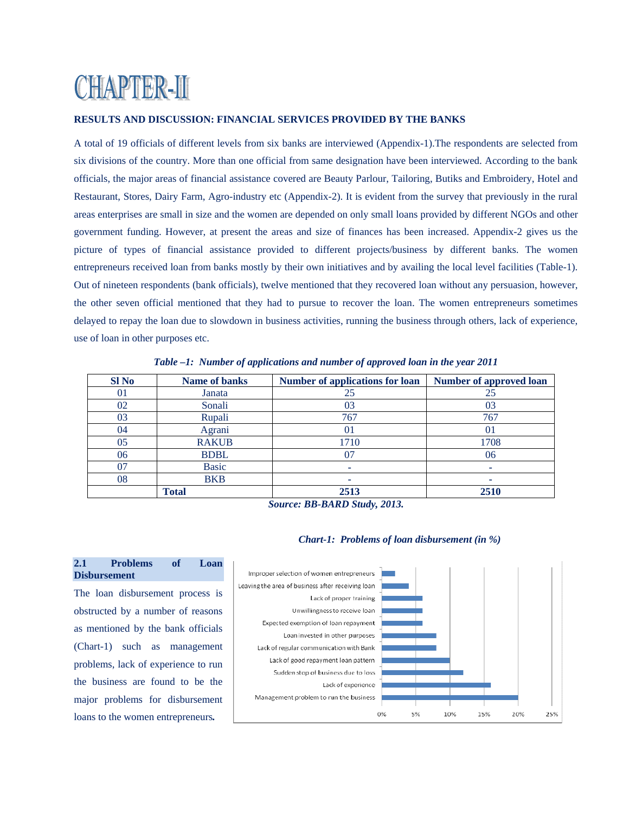# **CHAPTER-II**

## **RESULTS AND DISCUSSION: FINANCIAL SERVICES PROVIDED BY THE BANKS**

A total of 19 officials of different levels from six banks are interviewed (Appendix-1).The respondents are selected from six divisions of the country. More than one official from same designation have been interviewed. According to the bank officials, the major areas of financial assistance covered are Beauty Parlour, Tailoring, Butiks and Embroidery, Hotel and Restaurant, Stores, Dairy Farm, Agro-industry etc (Appendix-2). It is evident from the survey that previously in the rural areas enterprises are small in size and the women are depended on only small loans provided by different NGOs and other government funding. However, at present the areas and size of finances has been increased. Appendix-2 gives us the picture of types of financial assistance provided to different projects/business by different banks. The women entrepreneurs received loan from banks mostly by their own initiatives and by availing the local level facilities (Table-1). Out of nineteen respondents (bank officials), twelve mentioned that they recovered loan without any persuasion, however, the other seven official mentioned that they had to pursue to recover the loan. The women entrepreneurs sometimes delayed to repay the loan due to slowdown in business activities, running the business through others, lack of experience, use of loan in other purposes etc.

| <b>SI</b> No   | Name of banks | <b>Number of applications for loan</b> | Number of approved loan |
|----------------|---------------|----------------------------------------|-------------------------|
| $\Omega$       | Janata        | 25                                     | 25                      |
| 02             | Sonali        | 03                                     | 03                      |
| 03             | Rupali        | 767                                    | 767                     |
| 04             | Agrani        | 01                                     | 01                      |
| 0 <sub>5</sub> | <b>RAKUB</b>  | 1710                                   | 1708                    |
| 06             | <b>BDBL</b>   |                                        | 06                      |
| 07             | <b>Basic</b>  |                                        |                         |
| 08             | <b>BKB</b>    |                                        |                         |
|                | <b>Total</b>  | 2513                                   | 2510                    |

*Table –1: Number of applications and number of approved loan in the year 2011* 

 *Source: BB-BARD Study, 2013.* 

## *Chart-1: Problems of loan disbursement (in %)*



## **2.1 Problems of Loan Disbursement**

The loan disbursement process is obstructed by a number of reasons as mentioned by the bank officials (Chart-1) such as management problems, lack of experience to run the business are found to be the major problems for disbursement loans to the women entrepreneurs*.*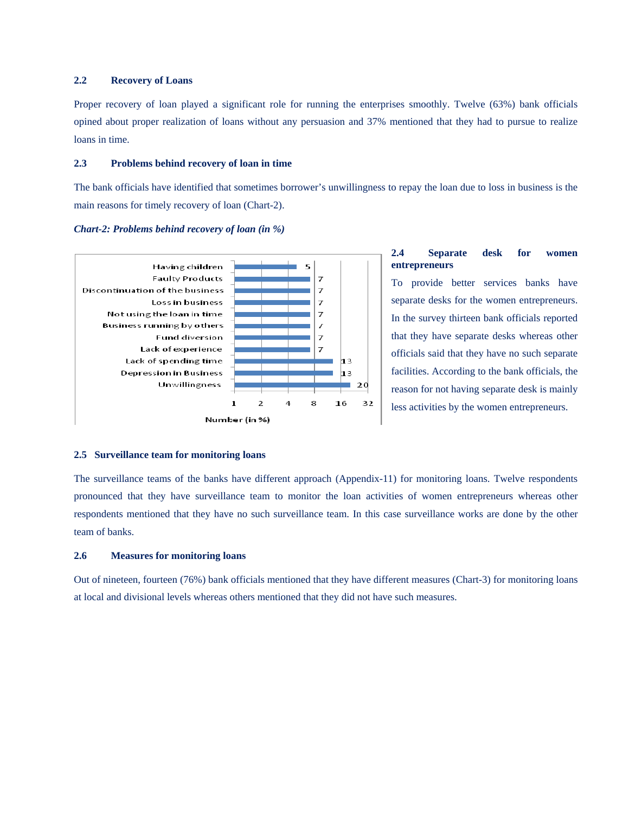## **2.2 Recovery of Loans**

Proper recovery of loan played a significant role for running the enterprises smoothly. Twelve (63%) bank officials opined about proper realization of loans without any persuasion and 37% mentioned that they had to pursue to realize loans in time.

## **2.3 Problems behind recovery of loan in time**

The bank officials have identified that sometimes borrower's unwillingness to repay the loan due to loss in business is the main reasons for timely recovery of loan (Chart-2).

#### *Chart-2: Problems behind recovery of loan (in %)*



## **2.4 Separate desk for women entrepreneurs**

To provide better services banks have separate desks for the women entrepreneurs. In the survey thirteen bank officials reported that they have separate desks whereas other officials said that they have no such separate facilities. According to the bank officials, the reason for not having separate desk is mainly less activities by the women entrepreneurs.

#### **2.5 Surveillance team for monitoring loans**

The surveillance teams of the banks have different approach (Appendix-11) for monitoring loans. Twelve respondents pronounced that they have surveillance team to monitor the loan activities of women entrepreneurs whereas other respondents mentioned that they have no such surveillance team. In this case surveillance works are done by the other team of banks.

#### **2.6 Measures for monitoring loans**

Out of nineteen, fourteen (76%) bank officials mentioned that they have different measures (Chart-3) for monitoring loans at local and divisional levels whereas others mentioned that they did not have such measures.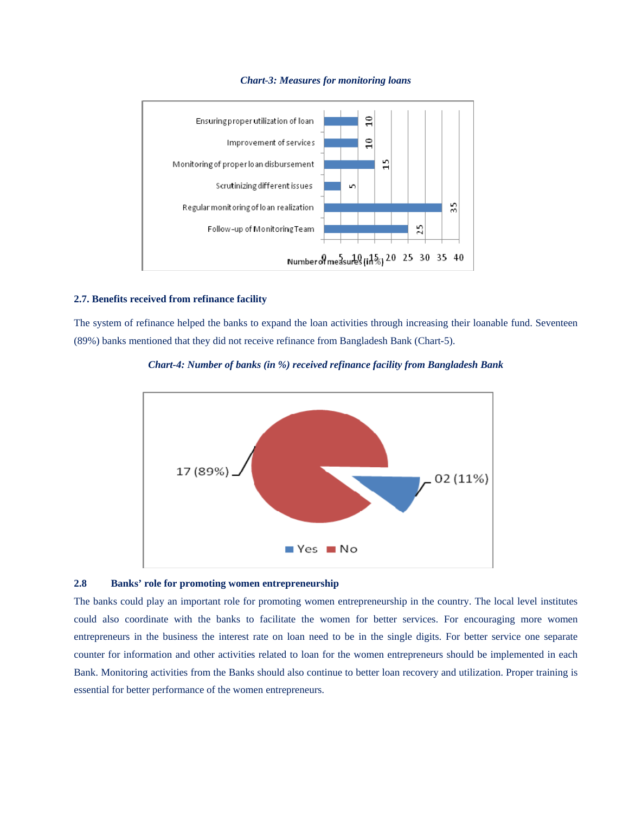

#### *Chart-3: Measures for monitoring loans*

## **2.7. Benefits received from refinance facility**

The system of refinance helped the banks to expand the loan activities through increasing their loanable fund. Seventeen (89%) banks mentioned that they did not receive refinance from Bangladesh Bank (Chart-5).



#### *Chart-4: Number of banks (in %) received refinance facility from Bangladesh Bank*

## **2.8 Banks' role for promoting women entrepreneurship**

The banks could play an important role for promoting women entrepreneurship in the country. The local level institutes could also coordinate with the banks to facilitate the women for better services. For encouraging more women entrepreneurs in the business the interest rate on loan need to be in the single digits. For better service one separate counter for information and other activities related to loan for the women entrepreneurs should be implemented in each Bank. Monitoring activities from the Banks should also continue to better loan recovery and utilization. Proper training is essential for better performance of the women entrepreneurs.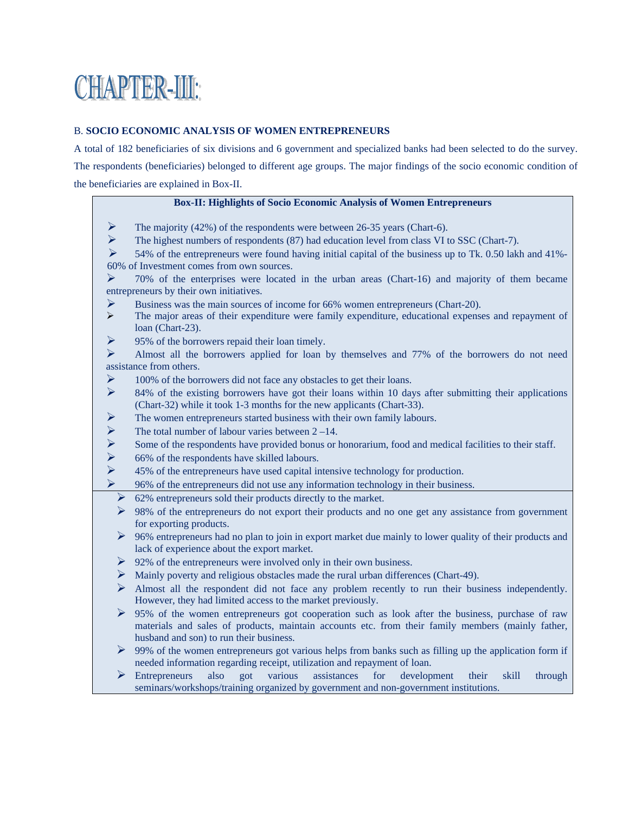# **CHAPTER-UL**

## B. **SOCIO ECONOMIC ANALYSIS OF WOMEN ENTREPRENEURS**

A total of 182 beneficiaries of six divisions and 6 government and specialized banks had been selected to do the survey. The respondents (beneficiaries) belonged to different age groups. The major findings of the socio economic condition of the beneficiaries are explained in Box-II.

## **Box-II: Highlights of Socio Economic Analysis of Women Entrepreneurs**

- $\triangleright$  The majority (42%) of the respondents were between 26-35 years (Chart-6).
- $\triangleright$  The highest numbers of respondents (87) had education level from class VI to SSC (Chart-7).

 $\triangleright$  54% of the entrepreneurs were found having initial capital of the business up to Tk. 0.50 lakh and 41%-60% of Investment comes from own sources.

 $\geq$  70% of the enterprises were located in the urban areas (Chart-16) and majority of them became entrepreneurs by their own initiatives.

- Business was the main sources of income for 66% women entrepreneurs (Chart-20).
- ¾ The major areas of their expenditure were family expenditure, educational expenses and repayment of loan (Chart-23).
- $\triangleright$  95% of the borrowers repaid their loan timely.

 $\triangleright$  Almost all the borrowers applied for loan by themselves and 77% of the borrowers do not need assistance from others.

- $\triangleright$  100% of the borrowers did not face any obstacles to get their loans.
- $\triangleright$  84% of the existing borrowers have got their loans within 10 days after submitting their applications (Chart-32) while it took 1-3 months for the new applicants (Chart-33).
- ¾ The women entrepreneurs started business with their own family labours.
- $\triangleright$  The total number of labour varies between 2 14.<br>
Some of the respondents have provided bonus or l
- → Some of the respondents have provided bonus or honorarium, food and medical facilities to their staff.<br>
→ 66% of the respondents have skilled labours.<br>
→ 45% of the entrepreneurs have used capital intensive technology
- ¾ 66% of the respondents have skilled labours.
- ¾ 45% of the entrepreneurs have used capital intensive technology for production.
- ¾ 96% of the entrepreneurs did not use any information technology in their business.
	- ¾ 62% entrepreneurs sold their products directly to the market.
- $\triangleright$  98% of the entrepreneurs do not export their products and no one get any assistance from government for exporting products.
- $\geq 96\%$  entrepreneurs had no plan to join in export market due mainly to lower quality of their products and lack of experience about the export market.
- $\triangleright$  92% of the entrepreneurs were involved only in their own business.
- $\triangleright$  Mainly poverty and religious obstacles made the rural urban differences (Chart-49).
- $\triangleright$  Almost all the respondent did not face any problem recently to run their business independently. However, they had limited access to the market previously.
- ¾ 95% of the women entrepreneurs got cooperation such as look after the business, purchase of raw materials and sales of products, maintain accounts etc. from their family members (mainly father, husband and son) to run their business.
- $\triangleright$  99% of the women entrepreneurs got various helps from banks such as filling up the application form if needed information regarding receipt, utilization and repayment of loan.
- ¾ Entrepreneurs also got various assistances for development their skill through seminars/workshops/training organized by government and non-government institutions.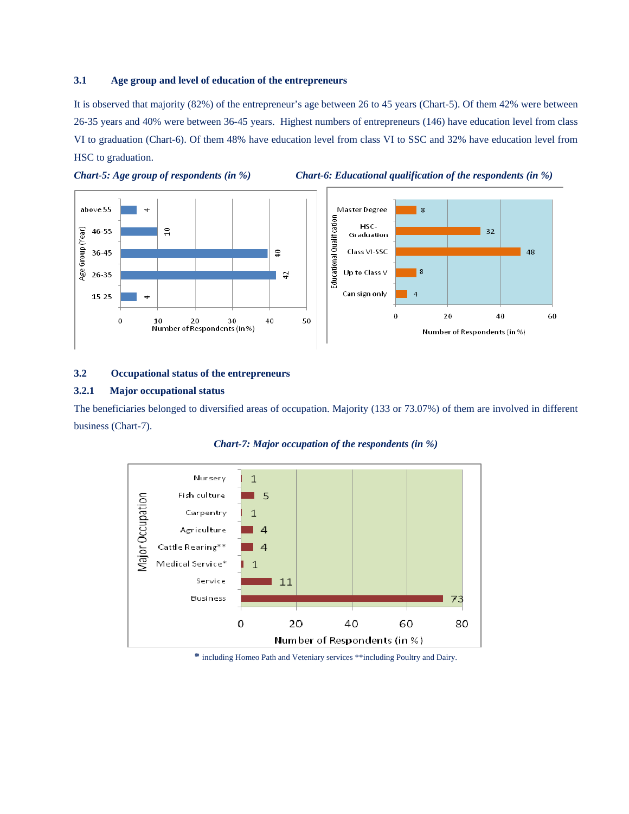## **3.1 Age group and level of education of the entrepreneurs**

It is observed that majority (82%) of the entrepreneur's age between 26 to 45 years (Chart-5). Of them 42% were between 26-35 years and 40% were between 36-45 years. Highest numbers of entrepreneurs (146) have education level from class VI to graduation (Chart-6). Of them 48% have education level from class VI to SSC and 32% have education level from HSC to graduation.





48

60



## **3.2 Occupational status of the entrepreneurs**

## **3.2.1 Major occupational status**

The beneficiaries belonged to diversified areas of occupation. Majority (133 or 73.07%) of them are involved in different business (Chart-7).





**\*** including Homeo Path and Veteniary services \*\*including Poultry and Dairy.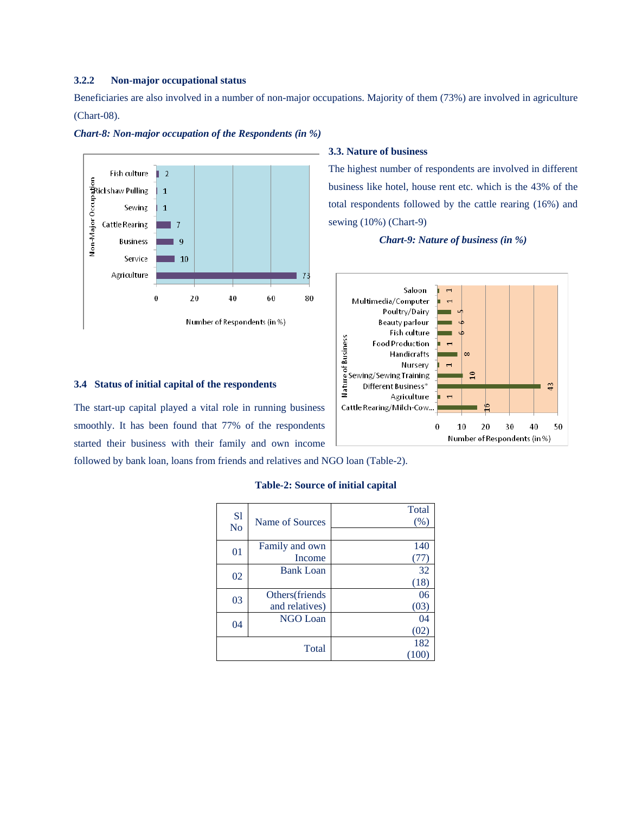## **3.2.2 Non-major occupational status**

Beneficiaries are also involved in a number of non-major occupations. Majority of them (73%) are involved in agriculture (Chart-08).



#### *Chart-8: Non-major occupation of the Respondents (in %)*

#### **3.4 Status of initial capital of the respondents**

The start-up capital played a vital role in running business smoothly. It has been found that 77% of the respondents started their business with their family and own income

followed by bank loan, loans from friends and relatives and NGO loan (Table-2).

## **Table-2: Source of initial capital**

| S <sub>1</sub><br>N <sub>o</sub> | Name of Sources                  | Total<br>(% )  |
|----------------------------------|----------------------------------|----------------|
| 01                               | Family and own<br>Income         | 140            |
| 02                               | <b>Bank Loan</b>                 | 32<br>(18)     |
| 03                               | Others(friends<br>and relatives) | 06<br>(03)     |
| 04                               | <b>NGO Loan</b>                  | 04<br>(02)     |
|                                  | Total                            | 182<br>$00 \,$ |

#### **3.3. Nature of business**

The highest number of respondents are involved in different business like hotel, house rent etc. which is the 43% of the total respondents followed by the cattle rearing (16%) and sewing (10%) (Chart-9)

*Chart-9: Nature of business (in %)*

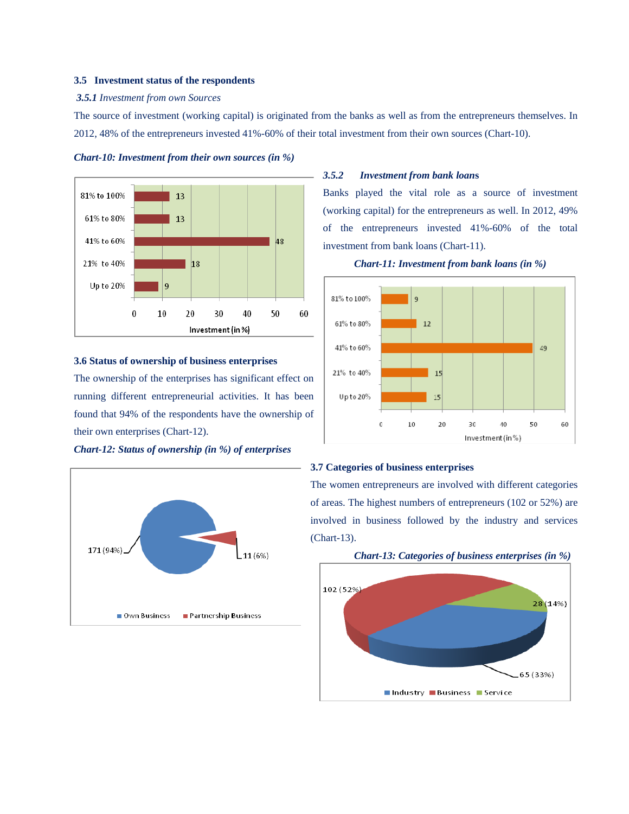#### **3.5 Investment status of the respondents**

#### *3.5.1 Investment from own Sources*

The source of investment (working capital) is originated from the banks as well as from the entrepreneurs themselves. In 2012, 48% of the entrepreneurs invested 41%-60% of their total investment from their own sources (Chart-10).



*Chart-10: Investment from their own sources (in %)* 

## **3.6 Status of ownership of business enterprises**

The ownership of the enterprises has significant effect on running different entrepreneurial activities. It has been found that 94% of the respondents have the ownership of their own enterprises (Chart-12).

*Chart-12: Status of ownership (in %) of enterprises*



## *3.5.2 Investment from bank loan***s**

Banks played the vital role as a source of investment (working capital) for the entrepreneurs as well. In 2012, 49% of the entrepreneurs invested 41%-60% of the total investment from bank loans (Chart-11).





#### **3.7 Categories of business enterprises**

The women entrepreneurs are involved with different categories of areas. The highest numbers of entrepreneurs (102 or 52%) are involved in business followed by the industry and services (Chart-13).

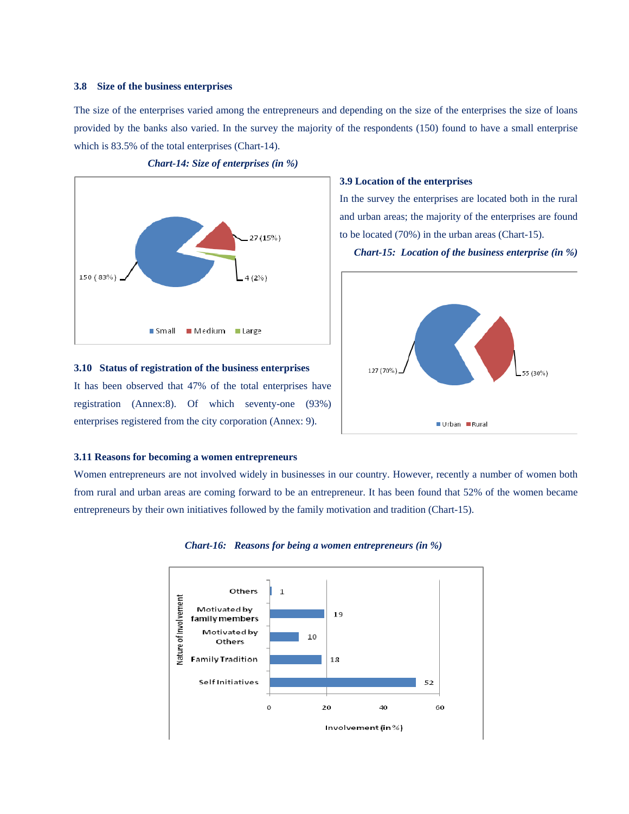#### **3.8 Size of the business enterprises**

The size of the enterprises varied among the entrepreneurs and depending on the size of the enterprises the size of loans provided by the banks also varied. In the survey the majority of the respondents (150) found to have a small enterprise which is 83.5% of the total enterprises (Chart-14).



*Chart-14: Size of enterprises (in %)* 

#### **3.9 Location of the enterprises**

In the survey the enterprises are located both in the rural and urban areas; the majority of the enterprises are found to be located (70%) in the urban areas (Chart-15).

*Chart-15: Location of the business enterprise (in %)* 



#### **3.11 Reasons for becoming a women entrepreneurs**

**3.10 Status of registration of the business enterprises** 

It has been observed that 47% of the total enterprises have registration (Annex:8). Of which seventy-one (93%) enterprises registered from the city corporation (Annex: 9).

Women entrepreneurs are not involved widely in businesses in our country. However, recently a number of women both from rural and urban areas are coming forward to be an entrepreneur. It has been found that 52% of the women became entrepreneurs by their own initiatives followed by the family motivation and tradition (Chart-15).



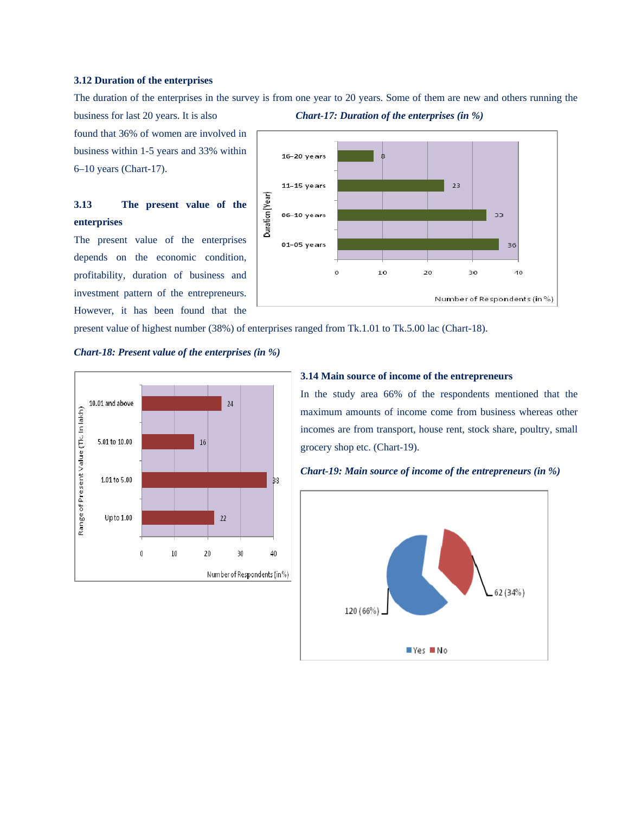#### **3.12 Duration of the enterprises**

The duration of the enterprises in the survey is from one year to 20 years. Some of them are new and others running the

business for last 20 years. It is also *Chart-17: Duration of the enterprises (in %)*  found that 36% of women are involved in business within 1-5 years and 33% within 6–10 years (Chart-17).

# **3.13 The present value of the enterprises**

The present value of the enterprises depends on the economic condition, profitability, duration of business and investment pattern of the entrepreneurs. However, it has been found that the



present value of highest number (38%) of enterprises ranged from Tk.1.01 to Tk.5.00 lac (Chart-18).

#### *Chart-18: Present value of the enterprises (in %)*



#### **3.14 Main source of income of the entrepreneurs**

In the study area 66% of the respondents mentioned that the maximum amounts of income come from business whereas other incomes are from transport, house rent, stock share, poultry, small grocery shop etc. (Chart-19).



*Chart-19: Main source of income of the entrepreneurs (in %)*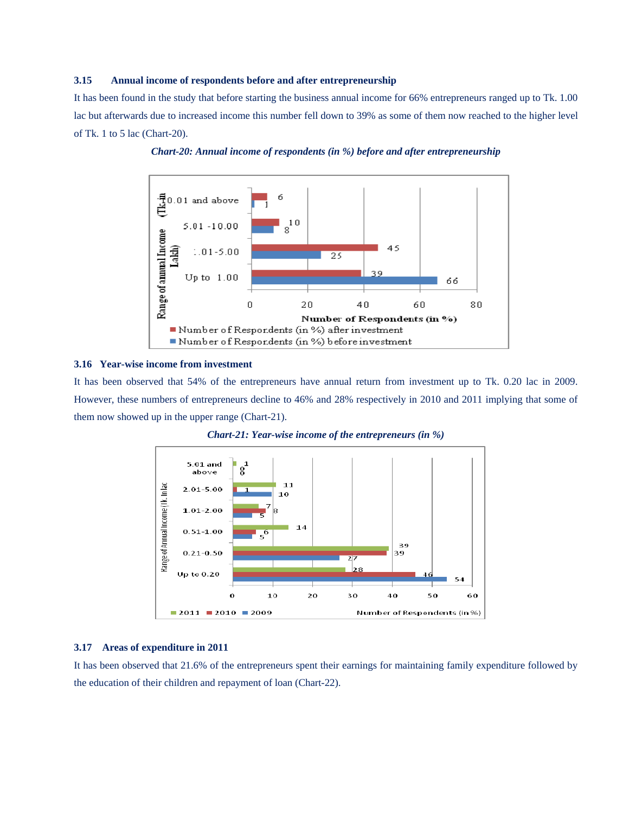#### **3.15 Annual income of respondents before and after entrepreneurship**

It has been found in the study that before starting the business annual income for 66% entrepreneurs ranged up to Tk. 1.00 lac but afterwards due to increased income this number fell down to 39% as some of them now reached to the higher level of Tk. 1 to 5 lac (Chart-20).





#### **3.16 Year-wise income from investment**

It has been observed that 54% of the entrepreneurs have annual return from investment up to Tk. 0.20 lac in 2009. However, these numbers of entrepreneurs decline to 46% and 28% respectively in 2010 and 2011 implying that some of them now showed up in the upper range (Chart-21).





#### **3.17 Areas of expenditure in 2011**

It has been observed that 21.6% of the entrepreneurs spent their earnings for maintaining family expenditure followed by the education of their children and repayment of loan (Chart-22).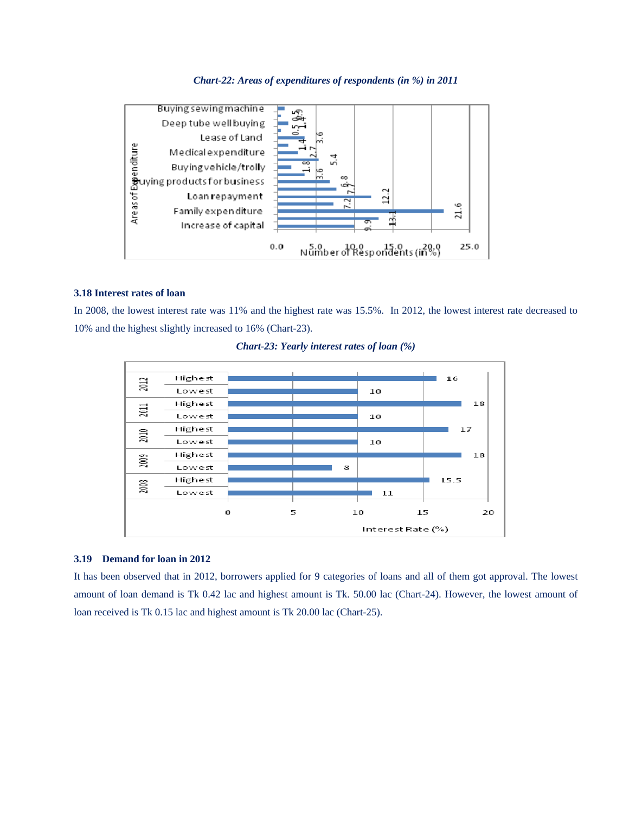

#### *Chart-22: Areas of expenditures of respondents (in %) in 2011*

## **3.18 Interest rates of loan**

In 2008, the lowest interest rate was 11% and the highest rate was 15.5%. In 2012, the lowest interest rate decreased to 10% and the highest slightly increased to 16% (Chart-23).





## **3.19 Demand for loan in 2012**

It has been observed that in 2012, borrowers applied for 9 categories of loans and all of them got approval. The lowest amount of loan demand is Tk 0.42 lac and highest amount is Tk. 50.00 lac (Chart-24). However, the lowest amount of loan received is Tk 0.15 lac and highest amount is Tk 20.00 lac (Chart-25).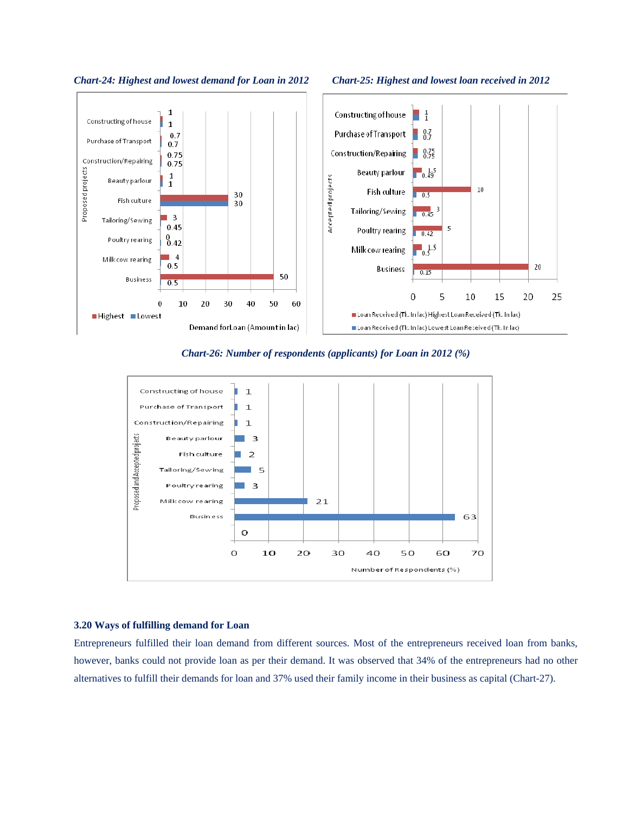

*Chart-24: Highest and lowest demand for Loan in 2012 Chart-25: Highest and lowest loan received in 2012* 



*Chart-26: Number of respondents (applicants) for Loan in 2012 (%)* 



#### **3.20 Ways of fulfilling demand for Loan**

Entrepreneurs fulfilled their loan demand from different sources. Most of the entrepreneurs received loan from banks, however, banks could not provide loan as per their demand. It was observed that 34% of the entrepreneurs had no other alternatives to fulfill their demands for loan and 37% used their family income in their business as capital (Chart-27).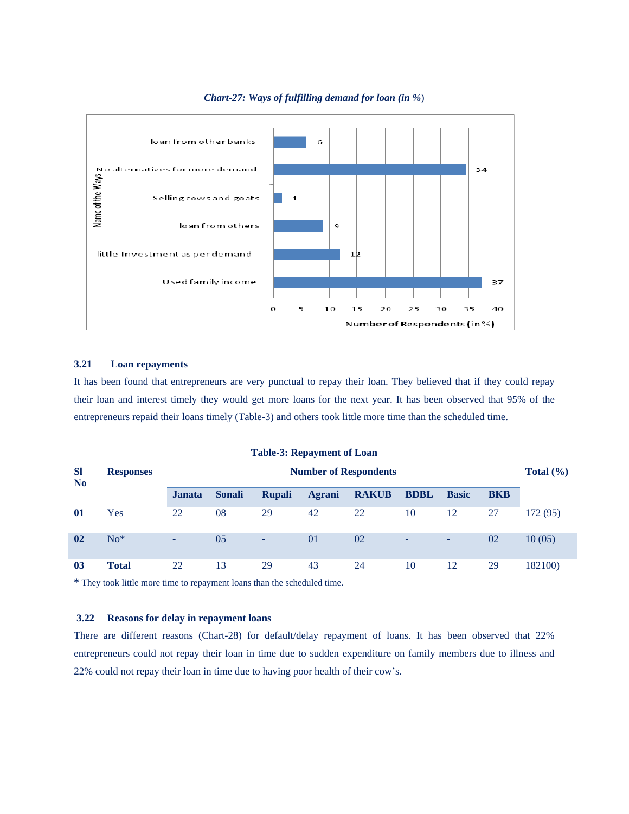

## *Chart-27: Ways of fulfilling demand for loan (in %*)

## **3.21 Loan repayments**

It has been found that entrepreneurs are very punctual to repay their loan. They believed that if they could repay their loan and interest timely they would get more loans for the next year. It has been observed that 95% of the entrepreneurs repaid their loans timely (Table-3) and others took little more time than the scheduled time.

| <b>SI</b><br>N <sub>0</sub> | <b>Responses</b> | <b>Number of Respondents</b> |               |               |               |              |             |              |            |          |  |
|-----------------------------|------------------|------------------------------|---------------|---------------|---------------|--------------|-------------|--------------|------------|----------|--|
|                             |                  | <b>Janata</b>                | <b>Sonali</b> | <b>Rupali</b> | <b>Agrani</b> | <b>RAKUB</b> | <b>BDBL</b> | <b>Basic</b> | <b>BKB</b> |          |  |
| 01                          | Yes              | 22                           | 08            | 29            | 42            | 22           | 10          | 12           | 27         | 172 (95) |  |
| 02                          | $No*$            | ÷                            | 05            | ٠             | $\Omega$      | 02           | ٠           | ٠            | 02         | 10(05)   |  |
| 0 <sub>3</sub>              | <b>Total</b>     | 22                           | 13            | 29            | 43            | 24           | 10          | 12           | 29         | 182100)  |  |

**Table-3: Repayment of Loan** 

**\*** They took little more time to repayment loans than the scheduled time.

## **3.22 Reasons for delay in repayment loans**

There are different reasons (Chart-28) for default/delay repayment of loans. It has been observed that 22% entrepreneurs could not repay their loan in time due to sudden expenditure on family members due to illness and 22% could not repay their loan in time due to having poor health of their cow's.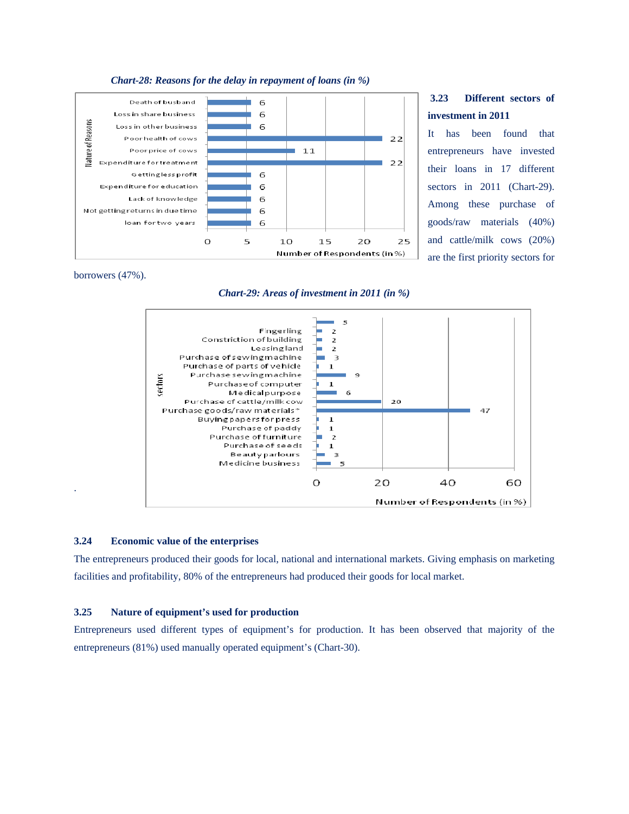

# **3.23 Different sectors of investment in 2011**

It has been found that entrepreneurs have invested their loans in 17 different sectors in 2011 (Chart-29). Among these purchase of goods/raw materials (40%) and cattle/milk cows (20%) are the first priority sectors for

borrowers (47%).

.

## *Chart-29: Areas of investment in 2011 (in %)*



#### **3.24 Economic value of the enterprises**

The entrepreneurs produced their goods for local, national and international markets. Giving emphasis on marketing facilities and profitability, 80% of the entrepreneurs had produced their goods for local market.

#### **3.25 Nature of equipment's used for production**

Entrepreneurs used different types of equipment's for production. It has been observed that majority of the entrepreneurs (81%) used manually operated equipment's (Chart-30).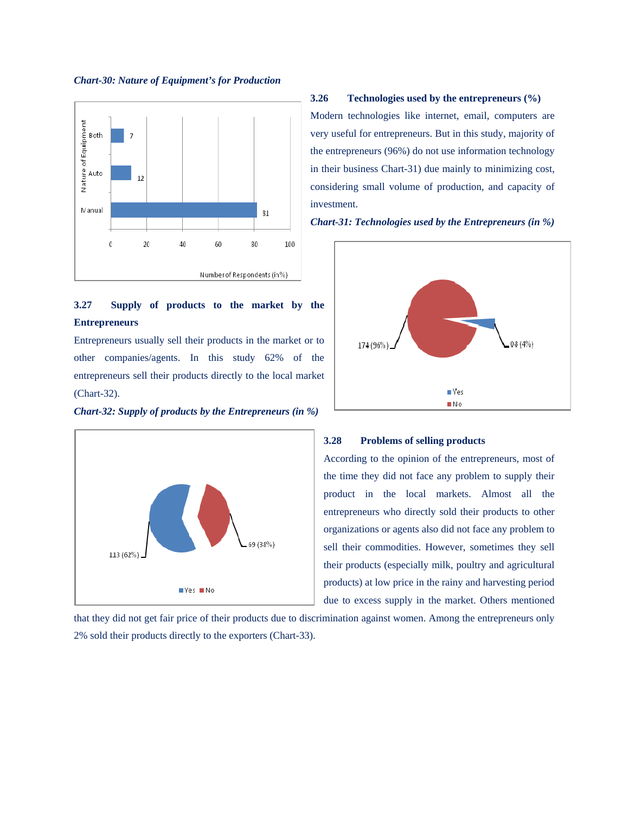



# **3.27 Supply of products to the market by the Entrepreneurs**

Entrepreneurs usually sell their products in the market or to other companies/agents. In this study 62% of the entrepreneurs sell their products directly to the local market (Chart-32).

*Chart-32: Supply of products by the Entrepreneurs (in %)* 



## **3.26 Technologies used by the entrepreneurs (%)**

Modern technologies like internet, email, computers are very useful for entrepreneurs. But in this study, majority of the entrepreneurs (96%) do not use information technology in their business Chart-31) due mainly to minimizing cost, considering small volume of production, and capacity of investment.





#### **3.28 Problems of selling products**

According to the opinion of the entrepreneurs, most of the time they did not face any problem to supply their product in the local markets. Almost all the entrepreneurs who directly sold their products to other organizations or agents also did not face any problem to sell their commodities. However, sometimes they sell their products (especially milk, poultry and agricultural products) at low price in the rainy and harvesting period due to excess supply in the market. Others mentioned

that they did not get fair price of their products due to discrimination against women. Among the entrepreneurs only 2% sold their products directly to the exporters (Chart-33).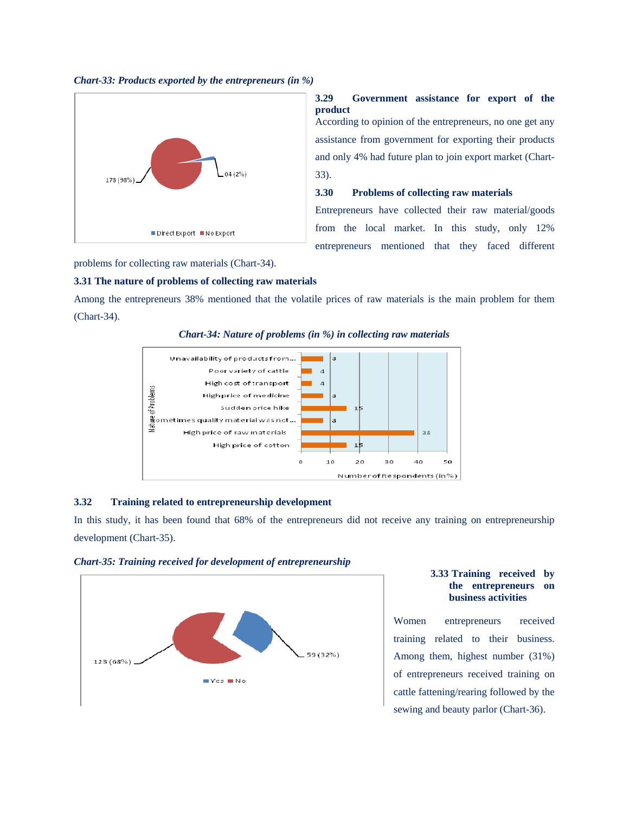



## **3.29 Government assistance for export of the product**

According to opinion of the entrepreneurs, no one get any assistance from government for exporting their products and only 4% had future plan to join export market (Chart-33).

## **3.30 Problems of collecting raw materials**

Entrepreneurs have collected their raw material/goods from the local market. In this study, only 12% entrepreneurs mentioned that they faced different

problems for collecting raw materials (Chart-34).

#### **3.31 The nature of problems of collecting raw materials**

Among the entrepreneurs 38% mentioned that the volatile prices of raw materials is the main problem for them (Chart-34).



*Chart-34: Nature of problems (in %) in collecting raw materials* 

## **3.32 Training related to entrepreneurship development**

In this study, it has been found that 68% of the entrepreneurs did not receive any training on entrepreneurship development (Chart-35).



#### *Chart-35: Training received for development of entrepreneurship*

## **3.33 Training received by the entrepreneurs on business activities**

Women entrepreneurs received training related to their business. Among them, highest number (31%) of entrepreneurs received training on cattle fattening/rearing followed by the sewing and beauty parlor (Chart-36).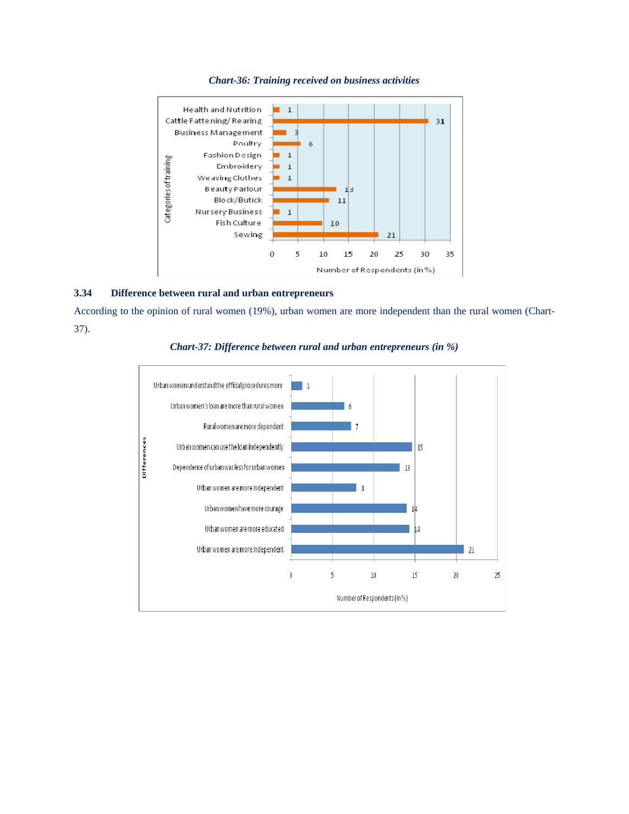

## *Chart-36: Training received on business activities*

## **3.34 Difference between rural and urban entrepreneurs**

According to the opinion of rural women (19%), urban women are more independent than the rural women (Chart-37).



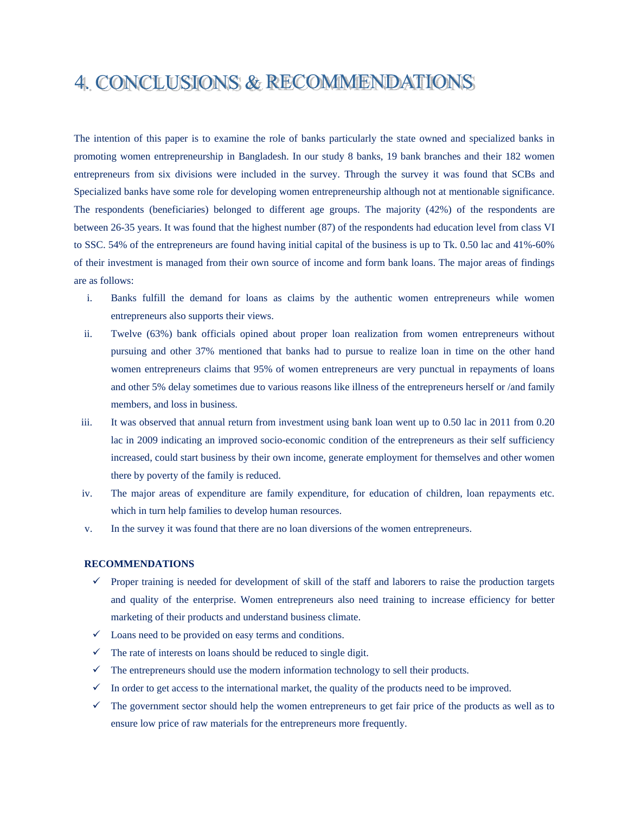# 4. CONCLUSIONS & RECOMMENDATIONS

The intention of this paper is to examine the role of banks particularly the state owned and specialized banks in promoting women entrepreneurship in Bangladesh. In our study 8 banks, 19 bank branches and their 182 women entrepreneurs from six divisions were included in the survey. Through the survey it was found that SCBs and Specialized banks have some role for developing women entrepreneurship although not at mentionable significance. The respondents (beneficiaries) belonged to different age groups. The majority (42%) of the respondents are between 26-35 years. It was found that the highest number (87) of the respondents had education level from class VI to SSC. 54% of the entrepreneurs are found having initial capital of the business is up to Tk. 0.50 lac and 41%-60% of their investment is managed from their own source of income and form bank loans. The major areas of findings are as follows:

- i. Banks fulfill the demand for loans as claims by the authentic women entrepreneurs while women entrepreneurs also supports their views.
- ii. Twelve (63%) bank officials opined about proper loan realization from women entrepreneurs without pursuing and other 37% mentioned that banks had to pursue to realize loan in time on the other hand women entrepreneurs claims that 95% of women entrepreneurs are very punctual in repayments of loans and other 5% delay sometimes due to various reasons like illness of the entrepreneurs herself or /and family members, and loss in business.
- iii. It was observed that annual return from investment using bank loan went up to 0.50 lac in 2011 from 0.20 lac in 2009 indicating an improved socio-economic condition of the entrepreneurs as their self sufficiency increased, could start business by their own income, generate employment for themselves and other women there by poverty of the family is reduced.
- iv. The major areas of expenditure are family expenditure, for education of children, loan repayments etc. which in turn help families to develop human resources.
- v. In the survey it was found that there are no loan diversions of the women entrepreneurs.

#### **RECOMMENDATIONS**

- $\checkmark$  Proper training is needed for development of skill of the staff and laborers to raise the production targets and quality of the enterprise. Women entrepreneurs also need training to increase efficiency for better marketing of their products and understand business climate.
- $\checkmark$  Loans need to be provided on easy terms and conditions.
- $\checkmark$  The rate of interests on loans should be reduced to single digit.
- $\checkmark$  The entrepreneurs should use the modern information technology to sell their products.
- $\checkmark$  In order to get access to the international market, the quality of the products need to be improved.
- $\checkmark$  The government sector should help the women entrepreneurs to get fair price of the products as well as to ensure low price of raw materials for the entrepreneurs more frequently.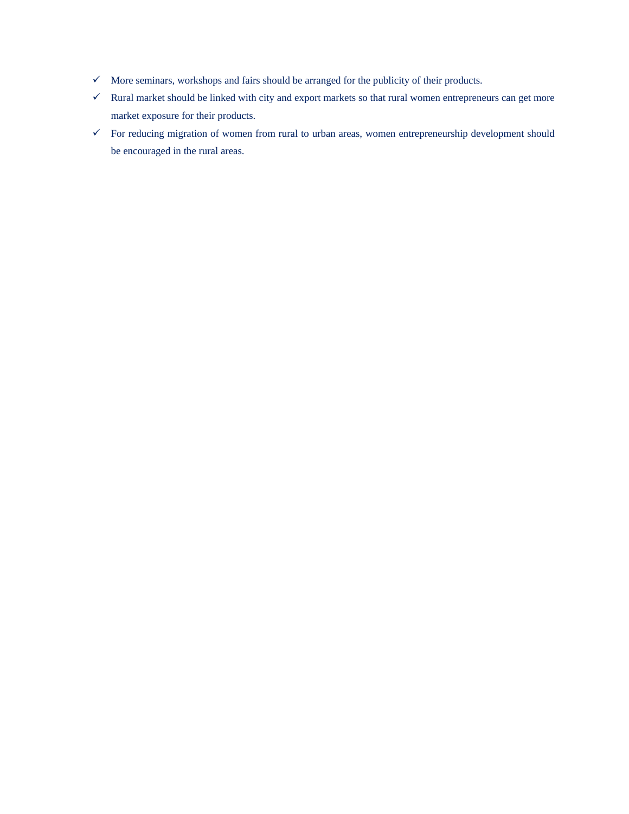- $\checkmark$  More seminars, workshops and fairs should be arranged for the publicity of their products.
- $\checkmark$  Rural market should be linked with city and export markets so that rural women entrepreneurs can get more market exposure for their products.
- $\checkmark$  For reducing migration of women from rural to urban areas, women entrepreneurship development should be encouraged in the rural areas.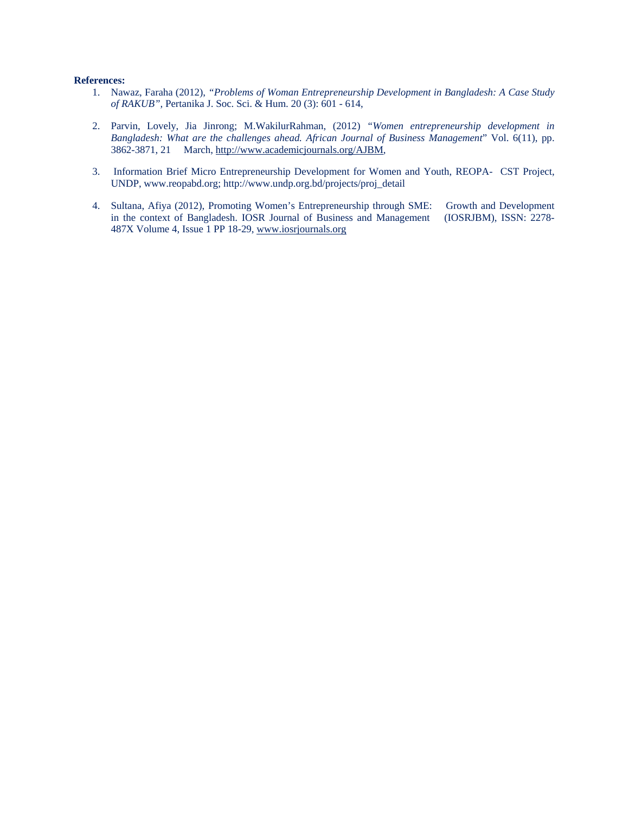## **References:**

- 1. Nawaz, Faraha (2012), *"Problems of Woman Entrepreneurship Development in Bangladesh: A Case Study of RAKUB",* Pertanika J. Soc. Sci. & Hum. 20 (3): 601 - 614,
- 2. Parvin, Lovely, Jia Jinrong; M.WakilurRahman, (2012) *"Women entrepreneurship development in Bangladesh: What are the challenges ahead. African Journal of Business Management*" Vol. 6(11), pp. 3862-3871, 21 March, http://www.academicjournals.org/AJBM,
- 3. Information Brief Micro Entrepreneurship Development for Women and Youth, REOPA- CST Project, UNDP, www.reopabd.org; http://www.undp.org.bd/projects/proj\_detail
- 4. Sultana, Afiya (2012), Promoting Women's Entrepreneurship through SME: Growth and Development in the context of Bangladesh. IOSR Journal of Business and Management (IOSRJBM), ISSN: 2278- 487X Volume 4, Issue 1 PP 18-29, www.iosrjournals.org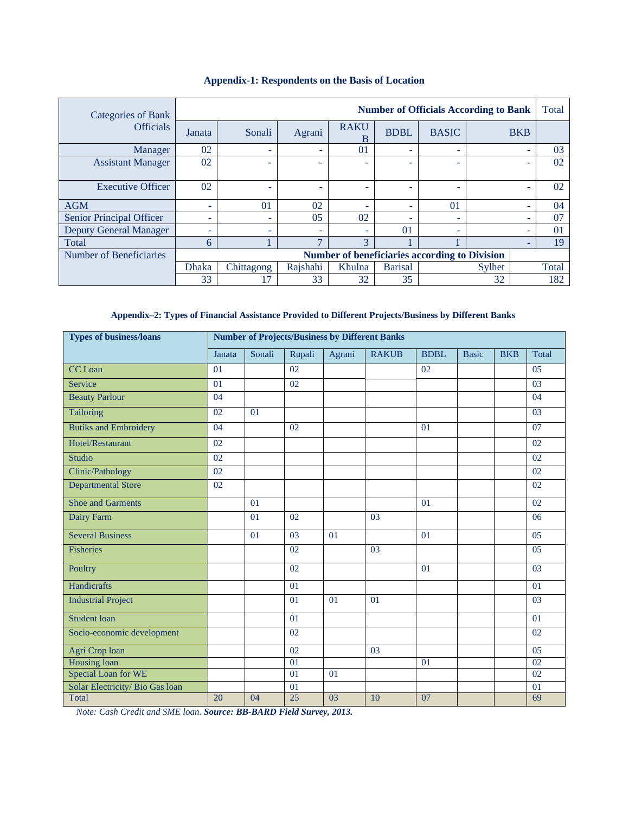| Categories of Bank            |                                                                              |          |                          |                          |             | <b>Number of Officials According to Bank</b>         |                          |                          | Total    |
|-------------------------------|------------------------------------------------------------------------------|----------|--------------------------|--------------------------|-------------|------------------------------------------------------|--------------------------|--------------------------|----------|
| <b>Officials</b>              | Janata                                                                       | Sonali   | Agrani                   | <b>RAKU</b><br>B         | <b>BDBL</b> | <b>BASIC</b>                                         |                          | <b>BKB</b>               |          |
| Manager                       | 02                                                                           | ۰        | ٠                        | 01                       | ٠           | ۰                                                    | $\overline{\phantom{a}}$ |                          | 03       |
| <b>Assistant Manager</b>      | 02                                                                           | -        | -                        |                          | -           | ۳                                                    |                          |                          | 02       |
| <b>Executive Officer</b>      | 02                                                                           | ۰        | ۰                        |                          | ٠           | ۰                                                    |                          |                          | 02       |
| <b>AGM</b>                    | ÷                                                                            | $\Omega$ | 02                       | ۰                        | ÷.          | $\Omega$                                             |                          | $\overline{\phantom{a}}$ | 04       |
| Senior Principal Officer      | ۰                                                                            | ۰        | 05                       | 02                       | ٠           | ۰                                                    |                          | ٠                        | 07       |
| <b>Deputy General Manager</b> | ÷                                                                            |          | $\overline{\phantom{a}}$ | $\overline{\phantom{a}}$ | $\Omega$    | ۰                                                    |                          |                          | $\Omega$ |
| Total                         | 6                                                                            |          | $\mathbf{r}$             | 3                        |             |                                                      |                          |                          | 19       |
| Number of Beneficiaries       |                                                                              |          |                          |                          |             | <b>Number of beneficiaries according to Division</b> |                          |                          |          |
|                               | Rajshahi<br>Khulna<br><b>Dhaka</b><br>Chittagong<br><b>Barisal</b><br>Sylhet |          |                          |                          |             |                                                      |                          | Total                    |          |
|                               | 33                                                                           | 17       | 33                       | 32                       | 35          |                                                      | 32                       |                          | 182      |

## **Appendix-1: Respondents on the Basis of Location**

# **Appendix–2: Types of Financial Assistance Provided to Different Projects/Business by Different Banks**

| <b>Types of business/loans</b>  |        |        |        |        | <b>Number of Projects/Business by Different Banks</b> |             |              |            |                |
|---------------------------------|--------|--------|--------|--------|-------------------------------------------------------|-------------|--------------|------------|----------------|
|                                 | Janata | Sonali | Rupali | Agrani | <b>RAKUB</b>                                          | <b>BDBL</b> | <b>Basic</b> | <b>BKB</b> | <b>Total</b>   |
| <b>CC</b> Loan                  | 01     |        | 02     |        |                                                       | 02          |              |            | 05             |
| Service                         | 01     |        | 02     |        |                                                       |             |              |            | 0 <sub>3</sub> |
| <b>Beauty Parlour</b>           | 04     |        |        |        |                                                       |             |              |            | 04             |
| Tailoring                       | 02     | 01     |        |        |                                                       |             |              |            | 03             |
| <b>Butiks and Embroidery</b>    | 04     |        | 02     |        |                                                       | 01          |              |            | 07             |
| Hotel/Restaurant                | 02     |        |        |        |                                                       |             |              |            | 02             |
| <b>Studio</b>                   | 02     |        |        |        |                                                       |             |              |            | 02             |
| Clinic/Pathology                | 02     |        |        |        |                                                       |             |              |            | 02             |
| <b>Departmental Store</b>       | 02     |        |        |        |                                                       |             |              |            | 02             |
| <b>Shoe and Garments</b>        |        | 01     |        |        |                                                       | 01          |              |            | 02             |
| Dairy Farm                      |        | 01     | 02     |        | 03                                                    |             |              |            | 06             |
| <b>Several Business</b>         |        | 01     | 03     | 01     |                                                       | 01          |              |            | 05             |
| <b>Fisheries</b>                |        |        | 02     |        | 03                                                    |             |              |            | 05             |
| Poultry                         |        |        | 02     |        |                                                       | 01          |              |            | 03             |
| Handicrafts                     |        |        | 01     |        |                                                       |             |              |            | 01             |
| <b>Industrial Project</b>       |        |        | 01     | 01     | 01                                                    |             |              |            | 03             |
| <b>Student loan</b>             |        |        | 01     |        |                                                       |             |              |            | 01             |
| Socio-economic development      |        |        | 02     |        |                                                       |             |              |            | 02             |
| Agri Crop loan                  |        |        | 02     |        | 03                                                    |             |              |            | 05             |
| Housing loan                    |        |        | 01     |        |                                                       | 01          |              |            | 02             |
| Special Loan for WE             |        |        | 01     | 01     |                                                       |             |              |            | 02             |
| Solar Electricity/ Bio Gas loan |        |        | 01     |        |                                                       |             |              |            | 01             |
| Total                           | 20     | 04     | 25     | 03     | 10                                                    | 07          |              |            | 69             |

 *Note: Cash Credit and SME loan*. *Source: BB-BARD Field Survey, 2013.*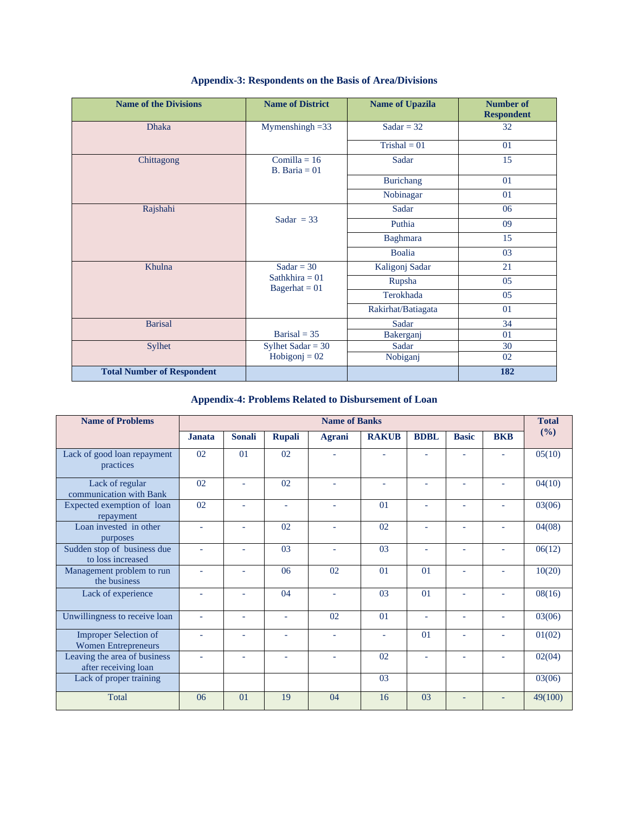| <b>Name of the Divisions</b>      | <b>Name of District</b>             | <b>Name of Upazila</b> | <b>Number of</b><br><b>Respondent</b> |
|-----------------------------------|-------------------------------------|------------------------|---------------------------------------|
| <b>Dhaka</b>                      | $Mymenshingh = 33$                  | Sadar = $32$           | 32                                    |
|                                   |                                     | $Trishall = 01$        | 01                                    |
| Chittagong                        | Comilla = $16$<br>B. Baria $= 01$   | Sadar                  | 15                                    |
|                                   |                                     | <b>Burichang</b>       | 01                                    |
|                                   |                                     | Nobinagar              | 01                                    |
| Rajshahi                          |                                     | Sadar                  | 06                                    |
|                                   | Sadar = $33$                        | Puthia                 | 09                                    |
|                                   |                                     | <b>Baghmara</b>        | 15                                    |
|                                   |                                     | <b>Boalia</b>          | 03                                    |
| Khulna                            | Sadar = $30$                        | Kaligonj Sadar         | 21                                    |
|                                   | Sathkhira = $01$<br>$Bagerhat = 01$ | Rupsha                 | 05                                    |
|                                   |                                     | Terokhada              | 05                                    |
|                                   |                                     | Rakirhat/Batiagata     | 01                                    |
| <b>Barisal</b>                    |                                     | Sadar                  | 34                                    |
|                                   | Barisal = $35$                      | Bakerganj              | 01                                    |
| <b>Sylhet</b>                     | Sylhet Sadar = $30$                 | Sadar                  | 30                                    |
|                                   | $Hobigonj = 02$                     | Nobiganj               | 02                                    |
| <b>Total Number of Respondent</b> |                                     |                        | 182                                   |

# **Appendix-3: Respondents on the Basis of Area/Divisions**

# **Appendix-4: Problems Related to Disbursement of Loan**

| <b>Name of Problems</b>                                    | <b>Name of Banks</b> |                |               |                          |                          |                |              |            |         |  |
|------------------------------------------------------------|----------------------|----------------|---------------|--------------------------|--------------------------|----------------|--------------|------------|---------|--|
|                                                            | <b>Janata</b>        | <b>Sonali</b>  | <b>Rupali</b> | <b>Agrani</b>            | <b>RAKUB</b>             | <b>BDBL</b>    | <b>Basic</b> | <b>BKB</b> | (%)     |  |
| Lack of good loan repayment<br>practices                   | 02                   | 01             | 02            |                          |                          |                |              |            | 05(10)  |  |
| Lack of regular<br>communication with Bank                 | 02                   |                | 02            |                          | L.                       |                |              |            | 04(10)  |  |
| Expected exemption of loan<br>repayment                    | 02                   |                |               |                          | 01                       |                |              |            | 03(06)  |  |
| Loan invested in other<br>purposes                         |                      |                | 02            | $\overline{\phantom{a}}$ | 02                       |                |              |            | 04(08)  |  |
| Sudden stop of business due<br>to loss increased           |                      | $\overline{a}$ | 03            | $\overline{a}$           | 0 <sub>3</sub>           | ÷,             |              | ÷          | 06(12)  |  |
| Management problem to run<br>the business                  |                      |                | 06            | 02                       | 0 <sub>1</sub>           | 0 <sub>1</sub> |              |            | 10(20)  |  |
| Lack of experience                                         |                      |                | 04            |                          | 0 <sub>3</sub>           | 0 <sub>1</sub> |              |            | 08(16)  |  |
| Unwillingness to receive loan                              | L,                   |                |               | 02                       | 01                       | ÷,             |              |            | 03(06)  |  |
| <b>Improper Selection of</b><br><b>Women Entrepreneurs</b> | ٠                    | $\equiv$       | ٠             | ÷.                       | $\overline{\phantom{a}}$ | 01             |              | ٠          | 01(02)  |  |
| Leaving the area of business<br>after receiving loan       |                      |                |               |                          | 02                       |                |              |            | 02(04)  |  |
| Lack of proper training                                    |                      |                |               |                          | 03                       |                |              |            | 03(06)  |  |
| <b>Total</b>                                               | 06                   | 01             | 19            | 04                       | 16                       | 03             |              |            | 49(100) |  |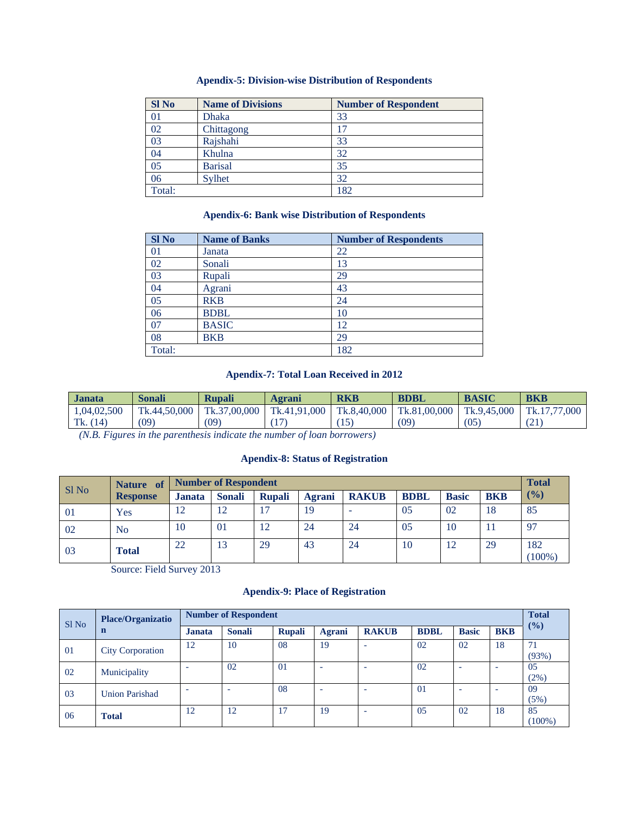## **Apendix-5: Division-wise Distribution of Respondents**

| <b>SINo</b> | <b>Name of Divisions</b> | <b>Number of Respondent</b> |
|-------------|--------------------------|-----------------------------|
| 01          | <b>Dhaka</b>             | 33                          |
| 02          | Chittagong               | 17                          |
| 03          | Rajshahi                 | 33                          |
| 04          | Khulna                   | 32                          |
| 05          | <b>Barisal</b>           | 35                          |
| 06          | Sylhet                   | 32                          |
| Total:      |                          | 182                         |

## **Apendix-6: Bank wise Distribution of Respondents**

| <b>Sl No</b> | <b>Name of Banks</b> | <b>Number of Respondents</b> |
|--------------|----------------------|------------------------------|
| 01           | Janata               | 22                           |
| 02           | Sonali               | 13                           |
| 03           | Rupali               | 29                           |
| 04           | Agrani               | 43                           |
| 05           | <b>RKB</b>           | 24                           |
| 06           | <b>BDBL</b>          | 10                           |
| 07           | <b>BASIC</b>         | 12                           |
| 08           | <b>BKB</b>           | 29                           |
| Total:       |                      | 182                          |

## **Apendix-7: Total Loan Received in 2012**

| <b>Janata</b> | Sonali       | <b>Rupali</b> | Agrani       | <b>RKB</b>  | <b>BDBL</b>  | <b>BASIC</b> | <b>BKB</b>   |
|---------------|--------------|---------------|--------------|-------------|--------------|--------------|--------------|
| 1,04,02,500   | Tk.44,50,000 | Tk.37,00,000  | Tk.41,91,000 | Tk.8,40,000 | Tk.81,00,000 | Tk.9.45.000  | Tk.17.77.000 |
| Tk. $(14)$    | (09)         | (09)          |              | (15)        | (09)         | (05)         | \ ∠ 1        |

*(N.B. Figures in the parenthesis indicate the number of loan borrowers)* 

## **Apendix-8: Status of Registration**

|       | <b>Nature</b>   | <b>Number of Respondent</b> |               |               |        |              |             |              |            | <b>Total</b>     |
|-------|-----------------|-----------------------------|---------------|---------------|--------|--------------|-------------|--------------|------------|------------------|
| Sl No | <b>Response</b> | <b>Janata</b>               | <b>Sonali</b> | <b>Rupali</b> | Agrani | <b>RAKUB</b> | <b>BDBL</b> | <b>Basic</b> | <b>BKB</b> | (9/0)            |
| 01    | Yes             | 12                          | 12            | 17            | 19     | -            | 05          | 02           | 18         | 85               |
| 02    | N <sub>0</sub>  | 10                          | 01            | 12            | 24     | 24           | 05          | 10           | $\perp$    | 97               |
| 03    | Total           | 22                          | 13            | 29            | 43     | 24           | 10          | 12           | 29         | 182<br>$(100\%)$ |

Source: Field Survey 2013

## **Apendix-9: Place of Registration**

| Sl No | Place/Organizatio<br>$\mathbf n$ | <b>Number of Respondent</b> |               |               |                          |                          |                |                          |            | <b>Total</b>    |
|-------|----------------------------------|-----------------------------|---------------|---------------|--------------------------|--------------------------|----------------|--------------------------|------------|-----------------|
|       |                                  | Janata                      | <b>Sonali</b> | <b>Rupali</b> | Agrani                   | <b>RAKUB</b>             | <b>BDBL</b>    | <b>Basic</b>             | <b>BKB</b> | (%)             |
| 01    | <b>City Corporation</b>          | 12                          | 10            | 08            | 19                       | $\overline{\phantom{a}}$ | 02             | 02                       | 18         | 71<br>(93%)     |
| 02    | Municipality                     |                             | 02            | $\Omega$      | $\overline{\phantom{a}}$ | -                        | 02             | $\overline{\phantom{a}}$ | -          | 05<br>(2%)      |
| 03    | <b>Union Parishad</b>            |                             | ۰             | 08            | $\overline{\phantom{a}}$ | ۰                        | 0 <sub>1</sub> |                          |            | 09<br>(5%)      |
| 06    | <b>Total</b>                     | 12                          | 12            | 17            | 19                       | -                        | 0 <sub>5</sub> | 02                       | 18         | 85<br>$(100\%)$ |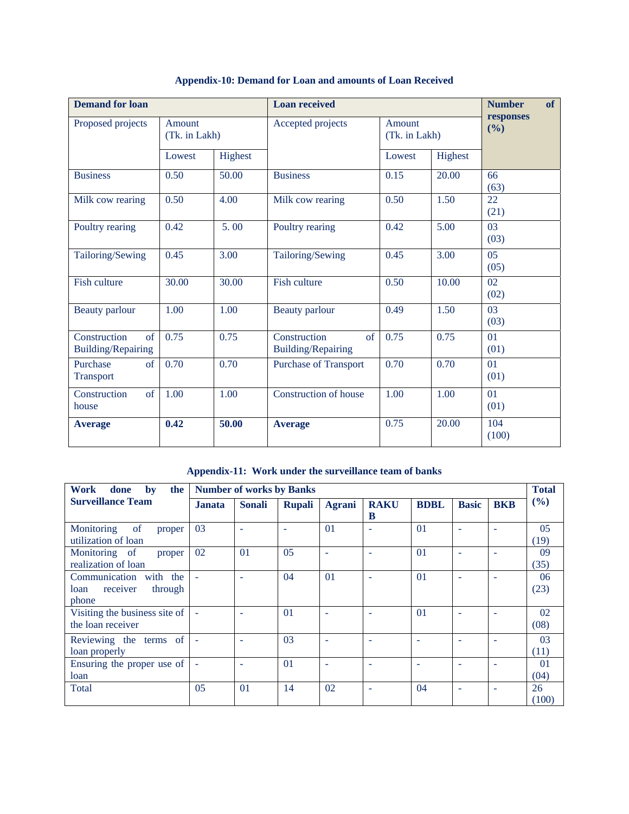| <b>Demand for loan</b>                          |                         |       | <b>Loan received</b>                            | <b>Number</b><br>of     |       |                    |  |
|-------------------------------------------------|-------------------------|-------|-------------------------------------------------|-------------------------|-------|--------------------|--|
| Proposed projects                               | Amount<br>(Tk. in Lakh) |       | Accepted projects                               | Amount<br>(Tk. in Lakh) |       | responses<br>(9/0) |  |
|                                                 | Highest<br>Lowest       |       |                                                 | Highest<br>Lowest       |       |                    |  |
| <b>Business</b>                                 | 0.50                    | 50.00 | <b>Business</b>                                 | 0.15                    | 20.00 | 66<br>(63)         |  |
| Milk cow rearing                                | 0.50                    | 4.00  | Milk cow rearing                                | 0.50                    | 1.50  | 22<br>(21)         |  |
| Poultry rearing                                 | 0.42                    | 5.00  | Poultry rearing                                 | 0.42                    | 5.00  | 03<br>(03)         |  |
| Tailoring/Sewing                                | 0.45                    | 3.00  | Tailoring/Sewing                                | 0.45                    | 3.00  | 05<br>(05)         |  |
| <b>Fish culture</b>                             | 30.00                   | 30.00 | Fish culture                                    | 0.50                    | 10.00 | 02<br>(02)         |  |
| Beauty parlour                                  | 1.00                    | 1.00  | Beauty parlour                                  | 0.49                    | 1.50  | 03<br>(03)         |  |
| Construction<br>of<br><b>Building/Repairing</b> | 0.75                    | 0.75  | Construction<br>of<br><b>Building/Repairing</b> | 0.75                    | 0.75  | 01<br>(01)         |  |
| Purchase<br>of<br><b>Transport</b>              | 0.70                    | 0.70  | <b>Purchase of Transport</b>                    | 0.70                    | 0.70  | 01<br>(01)         |  |
| Construction<br>of<br>house                     | 1.00                    | 1.00  | Construction of house                           | 1.00                    | 1.00  | 01<br>(01)         |  |
| <b>Average</b>                                  | 0.42                    | 50.00 | <b>Average</b>                                  | 0.75                    | 20.00 | 104<br>(100)       |  |

# **Appendix-10: Demand for Loan and amounts of Loan Received**

**Appendix-11: Work under the surveillance team of banks** 

| Work<br>the<br>done<br>$\mathbf{b}\mathbf{v}$                     |               | <b>Number of works by Banks</b> |                |                 |                          |             |                          |                          | <b>Total</b> |
|-------------------------------------------------------------------|---------------|---------------------------------|----------------|-----------------|--------------------------|-------------|--------------------------|--------------------------|--------------|
| <b>Surveillance Team</b>                                          | <b>Janata</b> | <b>Sonali</b>                   | <b>Rupali</b>  | <b>Agrani</b>   | <b>RAKU</b><br>B         | <b>BDBL</b> | <b>Basic</b>             | <b>BKB</b>               | (%)          |
| Monitoring<br>of<br>proper<br>utilization of loan                 | 03            | $\overline{\phantom{a}}$        | ٠              | 01              | $\overline{\phantom{a}}$ | 01          | $\overline{\phantom{a}}$ | $\overline{\phantom{a}}$ | 05<br>(19)   |
| Monitoring of<br>proper<br>realization of loan                    | 02            | 0 <sub>1</sub>                  | 05             |                 | $\overline{\phantom{a}}$ | 01          | $\overline{\phantom{a}}$ | ٠                        | 09<br>(35)   |
| with the<br>Communication<br>receiver<br>through<br>loan<br>phone |               | $\overline{\phantom{a}}$        | 04             | $\overline{01}$ | $\overline{\phantom{a}}$ | 01          | $\overline{\phantom{a}}$ | ۰                        | 06<br>(23)   |
| Visiting the business site of<br>the loan receiver                |               | ٠                               | 0 <sub>1</sub> | ۰               | $\overline{\phantom{a}}$ | 01          | $\overline{\phantom{a}}$ | ۰                        | 02<br>(08)   |
| Reviewing the terms of<br>loan properly                           |               | Ē.                              | 03             |                 | <b>1</b>                 |             | $\overline{\phantom{a}}$ | $\overline{\phantom{a}}$ | 03<br>(11)   |
| Ensuring the proper use of<br>loan                                |               | ÷.                              | 01             |                 | <b>1</b>                 |             |                          | ۰                        | 01<br>(04)   |
| Total                                                             | 05            | $\overline{01}$                 | 14             | 02              | <b>1</b>                 | 04          |                          | ٠                        | 26<br>(100)  |